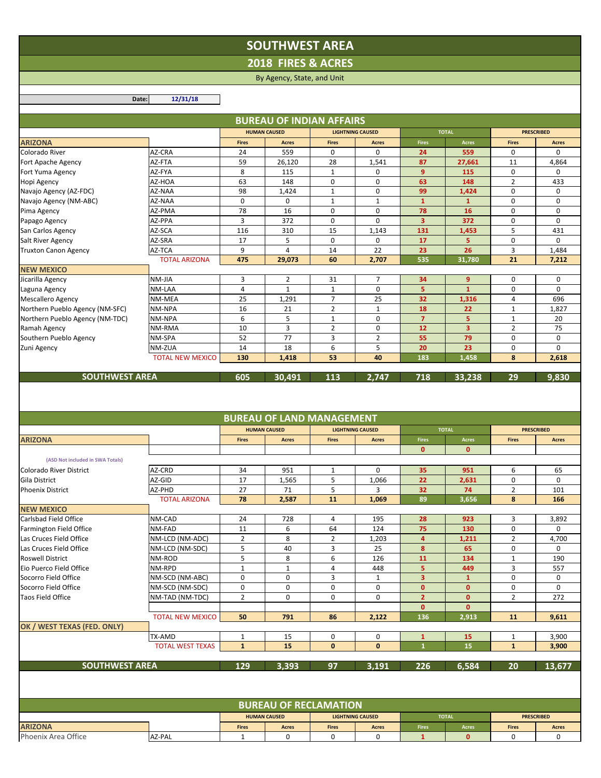## **SOUTHWEST AREA**

**2018 FIRES & ACRES**

## By Agency, State, and Unit

**Date: 12/31/18**

| <b>HUMAN CAUSED</b><br><b>LIGHTNING CAUSED</b><br><b>TOTAL</b><br><b>PRESCRIBED</b><br><b>ARIZONA</b><br><b>Fires</b><br><b>Fires</b><br><b>Fires</b><br><b>Fires</b><br>Acres<br><b>Acres</b><br><b>Acres</b><br><b>Acres</b><br>Colorado River<br>AZ-CRA<br>559<br>24<br>0<br>0<br>24<br>559<br>0<br>0<br>59<br>87<br>AZ-FTA<br>26,120<br>28<br>1,541<br>27,661<br>11<br>4,864<br>Fort Apache Agency<br>8<br>$\mathbf{1}$<br>AZ-FYA<br>115<br>0<br>9<br>115<br>0<br>Fort Yuma Agency<br>0<br>63<br>0<br>$\mathbf 0$<br>$\overline{2}$<br>AZ-HOA<br>148<br>63<br>433<br>Hopi Agency<br>148<br>99<br>AZ-NAA<br>98<br>1,424<br>0<br>1,424<br>0<br>0<br>Navajo Agency (AZ-FDC)<br>$\mathbf{1}$<br>0<br>$\mathbf{1}$<br>$\mathbf{1}$<br>AZ-NAA<br>0<br>$\mathbf{1}$<br>0<br>0<br>Navajo Agency (NM-ABC)<br>$\mathbf{1}$<br>78<br>16<br>0<br>$\mathbf 0$<br>78<br>16<br>0<br>0<br>AZ-PMA<br>Pima Agency<br>3<br>372<br>3<br>372<br>AZ-PPA<br>0<br>$\mathbf 0$<br>0<br>0<br>Papago Agency<br>AZ-SCA<br>116<br>310<br>15<br>1,143<br>131<br>5<br>431<br>San Carlos Agency<br>1,453<br>AZ-SRA<br>17<br>5<br>0<br>17<br>5<br>0<br>$\Omega$<br>0<br>Salt River Agency<br>9<br>$\overline{4}$<br>22<br>3<br>1,484<br>AZ-TCA<br>14<br>23<br>26<br><b>Truxton Canon Agency</b><br><b>TOTAL ARIZONA</b><br>475<br>29,073<br>60<br>2,707<br>535<br>31,780<br>21<br>7,212<br>NM-JIA<br>3<br>$\overline{2}$<br>31<br>$\overline{7}$<br>34<br>0<br>0<br>9<br>4<br>$\mathbf{1}$<br>$\mathbf{1}$<br>0<br>5<br>0<br>NM-LAA<br>$\mathbf{1}$<br>0<br>$\overline{7}$<br>25<br>25<br>32<br>4<br>696<br>NM-MEA<br>1,291<br>1,316<br>16<br>$\overline{2}$<br>18<br>NM-NPA<br>21<br>$\mathbf{1}$<br>22<br>$\mathbf{1}$<br>1,827<br>6<br>5<br>$\overline{7}$<br>$\mathbf{1}$<br>0<br>5<br>$\mathbf{1}$<br>20<br>NM-NPA<br>10<br>3<br>$\overline{2}$<br>0<br>12<br>3 <sup>1</sup><br>$\overline{2}$<br>75<br>NM-RMA<br>52<br>77<br>3<br>$\overline{2}$<br>55<br>79<br>0<br>0<br>NM-SPA<br>14<br>18<br>6<br>5<br>20<br>23<br>0<br>0<br>NM-ZUA<br>40<br><b>TOTAL NEW MEXICO</b><br>130<br>1,418<br>53<br>183<br>1,458<br>8<br>2,618<br><b>SOUTHWEST AREA</b><br>605<br>113<br>718<br>29<br>9,830<br>30,491<br>2,747<br>33.238<br><b>BUREAU OF LAND MANAGEMENT</b><br><b>HUMAN CAUSED</b><br><b>LIGHTNING CAUSED</b><br><b>TOTAL</b><br><b>PRESCRIBED</b><br><b>Fires</b><br><b>ARIZONA</b><br><b>Fires</b><br><b>Fires</b><br>Acres<br><b>Fires</b><br><b>Acres</b><br><b>Acres</b><br><b>Acres</b><br>$\mathbf{0}$<br>$\mathbf 0$<br>(ASD Not included in SWA Totals)<br>35<br>6<br>AZ-CRD<br>34<br>951<br>$\mathbf{1}$<br>0<br>951<br>65<br>Colorado River District<br>17<br>5<br>22<br>AZ-GID<br>1,565<br>1,066<br>2,631<br>0<br>0<br>Gila District<br>27<br>5<br>71<br>3<br>32<br>$\overline{2}$<br>101<br><b>Phoenix District</b><br>AZ-PHD<br>74<br><b>TOTAL ARIZONA</b><br>78<br>11<br>8<br>2,587<br>1,069<br>89<br>166<br>3,656<br><b>NEW MEXICO</b><br>Carlsbad Field Office<br>24<br>NM-CAD<br>728<br>4<br>195<br>28<br>923<br>3<br>3,892<br>11<br>6<br>64<br>75<br>0<br>NM-FAD<br>124<br>130<br>$\Omega$<br><b>Farmington Field Office</b><br>$\overline{2}$<br>8<br>Las Cruces Field Office<br>NM-LCD (NM-ADC)<br>$\overline{2}$<br>1,203<br>4<br>1,211<br>$\overline{2}$<br>4,700<br>5<br>40<br>3<br>25<br>8<br>65<br>0<br>NM-LCD (NM-SDC)<br>0<br>Las Cruces Field Office<br><b>Roswell District</b><br>NM-ROD<br>5<br>8<br>6<br>126<br>134<br>$\mathbf{1}$<br>190<br>11<br>Eio Puerco Field Office<br>NM-RPD<br>$\mathbf{1}$<br>3<br>$\mathbf{1}$<br>4<br>448<br>5<br>449<br>557<br>0<br>0<br>3<br>0<br>Socorro Field Office<br>NM-SCD (NM-ABC)<br>$\mathbf{1}$<br>3<br>0<br>$\mathbf{1}$<br>0<br>Socorro Field Office<br>NM-SCD (NM-SDC)<br>0<br>0<br>0<br>$\mathbf{0}$<br>$\mathbf{0}$<br>0<br>0<br><b>Taos Field Office</b><br>NM-TAD (NM-TDC)<br>$\overline{2}$<br>0<br>0<br>0<br>$\overline{2}$<br>$\overline{2}$<br>272<br>$\mathbf{0}$<br>$\mathbf{0}$<br>$\mathbf{0}$<br>136<br>2,913<br><b>TOTAL NEW MEXICO</b><br>50<br>791<br>86<br>2,122<br>11<br>9,611<br>OK / WEST TEXAS (FED. ONLY)<br>TX-AMD<br>$\mathbf{1}$<br>15<br>0<br>0<br>15<br>$\mathbf{1}$<br>3,900<br>$\mathbf{1}$<br><b>TOTAL WEST TEXAS</b><br>$\mathbf{1}$<br>15<br>$\mathbf{1}$<br>15<br>$\bf{0}$<br>$\mathbf{0}$<br>$\mathbf{1}$<br>3,900<br><b>SOUTHWEST AREA</b><br>129<br>3,393<br>97<br>3,191<br>226<br>6,584<br>20<br>13.677<br><b>BUREAU OF RECLAMATION</b><br><b>HUMAN CAUSED</b><br><b>LIGHTNING CAUSED</b><br><b>TOTAL</b><br><b>PRESCRIBED</b><br>Fires<br>Acres<br><b>ARIZONA</b><br><b>Fires</b><br>Acres<br><b>Fires</b><br>Acres<br><b>Fires</b><br><b>Acres</b><br>Phoenix Area Office<br>AZ-PAL<br>$\mathbf{1}$<br>0<br>0<br>0<br>0<br>$\mathbf{1}$<br>$\mathbf{0}$<br>0 |                                 |  |  | <b>BUREAU OF INDIAN AFFAIRS</b> |  |  |  |  |  |  |  |  |
|--------------------------------------------------------------------------------------------------------------------------------------------------------------------------------------------------------------------------------------------------------------------------------------------------------------------------------------------------------------------------------------------------------------------------------------------------------------------------------------------------------------------------------------------------------------------------------------------------------------------------------------------------------------------------------------------------------------------------------------------------------------------------------------------------------------------------------------------------------------------------------------------------------------------------------------------------------------------------------------------------------------------------------------------------------------------------------------------------------------------------------------------------------------------------------------------------------------------------------------------------------------------------------------------------------------------------------------------------------------------------------------------------------------------------------------------------------------------------------------------------------------------------------------------------------------------------------------------------------------------------------------------------------------------------------------------------------------------------------------------------------------------------------------------------------------------------------------------------------------------------------------------------------------------------------------------------------------------------------------------------------------------------------------------------------------------------------------------------------------------------------------------------------------------------------------------------------------------------------------------------------------------------------------------------------------------------------------------------------------------------------------------------------------------------------------------------------------------------------------------------------------------------------------------------------------------------------------------------------------------------------------------------------------------------------------------------------------------------------------------------------------------------------------------------------------------------------------------------------------------------------------------------------------------------------------------------------------------------------------------------------------------------------------------------------------------------------------------------------------------------------------------------------------------------------------------------------------------------------------------------------------------------------------------------------------------------------------------------------------------------------------------------------------------------------------------------------------------------------------------------------------------------------------------------------------------------------------------------------------------------------------------------------------------------------------------------------------------------------------------------------------------------------------------------------------------------------------------------------------------------------------------------------------------------------------------------------------------------------------------------------------------------------------------------------------------------------------------------------------------------------------------------------------------------------------------------------------------------------------------------------------------------------------------------------------------------------------------------------------------------------------------------------------------------------------------------------------------------------------------------------------------------------------------------------------------------------------------------------------------------------------------------------------------------------------------------------------------------------------------------------|---------------------------------|--|--|---------------------------------|--|--|--|--|--|--|--|--|
|                                                                                                                                                                                                                                                                                                                                                                                                                                                                                                                                                                                                                                                                                                                                                                                                                                                                                                                                                                                                                                                                                                                                                                                                                                                                                                                                                                                                                                                                                                                                                                                                                                                                                                                                                                                                                                                                                                                                                                                                                                                                                                                                                                                                                                                                                                                                                                                                                                                                                                                                                                                                                                                                                                                                                                                                                                                                                                                                                                                                                                                                                                                                                                                                                                                                                                                                                                                                                                                                                                                                                                                                                                                                                                                                                                                                                                                                                                                                                                                                                                                                                                                                                                                                                                                                                                                                                                                                                                                                                                                                                                                                                                                                                                                                                        |                                 |  |  |                                 |  |  |  |  |  |  |  |  |
|                                                                                                                                                                                                                                                                                                                                                                                                                                                                                                                                                                                                                                                                                                                                                                                                                                                                                                                                                                                                                                                                                                                                                                                                                                                                                                                                                                                                                                                                                                                                                                                                                                                                                                                                                                                                                                                                                                                                                                                                                                                                                                                                                                                                                                                                                                                                                                                                                                                                                                                                                                                                                                                                                                                                                                                                                                                                                                                                                                                                                                                                                                                                                                                                                                                                                                                                                                                                                                                                                                                                                                                                                                                                                                                                                                                                                                                                                                                                                                                                                                                                                                                                                                                                                                                                                                                                                                                                                                                                                                                                                                                                                                                                                                                                                        |                                 |  |  |                                 |  |  |  |  |  |  |  |  |
|                                                                                                                                                                                                                                                                                                                                                                                                                                                                                                                                                                                                                                                                                                                                                                                                                                                                                                                                                                                                                                                                                                                                                                                                                                                                                                                                                                                                                                                                                                                                                                                                                                                                                                                                                                                                                                                                                                                                                                                                                                                                                                                                                                                                                                                                                                                                                                                                                                                                                                                                                                                                                                                                                                                                                                                                                                                                                                                                                                                                                                                                                                                                                                                                                                                                                                                                                                                                                                                                                                                                                                                                                                                                                                                                                                                                                                                                                                                                                                                                                                                                                                                                                                                                                                                                                                                                                                                                                                                                                                                                                                                                                                                                                                                                                        |                                 |  |  |                                 |  |  |  |  |  |  |  |  |
|                                                                                                                                                                                                                                                                                                                                                                                                                                                                                                                                                                                                                                                                                                                                                                                                                                                                                                                                                                                                                                                                                                                                                                                                                                                                                                                                                                                                                                                                                                                                                                                                                                                                                                                                                                                                                                                                                                                                                                                                                                                                                                                                                                                                                                                                                                                                                                                                                                                                                                                                                                                                                                                                                                                                                                                                                                                                                                                                                                                                                                                                                                                                                                                                                                                                                                                                                                                                                                                                                                                                                                                                                                                                                                                                                                                                                                                                                                                                                                                                                                                                                                                                                                                                                                                                                                                                                                                                                                                                                                                                                                                                                                                                                                                                                        |                                 |  |  |                                 |  |  |  |  |  |  |  |  |
|                                                                                                                                                                                                                                                                                                                                                                                                                                                                                                                                                                                                                                                                                                                                                                                                                                                                                                                                                                                                                                                                                                                                                                                                                                                                                                                                                                                                                                                                                                                                                                                                                                                                                                                                                                                                                                                                                                                                                                                                                                                                                                                                                                                                                                                                                                                                                                                                                                                                                                                                                                                                                                                                                                                                                                                                                                                                                                                                                                                                                                                                                                                                                                                                                                                                                                                                                                                                                                                                                                                                                                                                                                                                                                                                                                                                                                                                                                                                                                                                                                                                                                                                                                                                                                                                                                                                                                                                                                                                                                                                                                                                                                                                                                                                                        |                                 |  |  |                                 |  |  |  |  |  |  |  |  |
|                                                                                                                                                                                                                                                                                                                                                                                                                                                                                                                                                                                                                                                                                                                                                                                                                                                                                                                                                                                                                                                                                                                                                                                                                                                                                                                                                                                                                                                                                                                                                                                                                                                                                                                                                                                                                                                                                                                                                                                                                                                                                                                                                                                                                                                                                                                                                                                                                                                                                                                                                                                                                                                                                                                                                                                                                                                                                                                                                                                                                                                                                                                                                                                                                                                                                                                                                                                                                                                                                                                                                                                                                                                                                                                                                                                                                                                                                                                                                                                                                                                                                                                                                                                                                                                                                                                                                                                                                                                                                                                                                                                                                                                                                                                                                        |                                 |  |  |                                 |  |  |  |  |  |  |  |  |
|                                                                                                                                                                                                                                                                                                                                                                                                                                                                                                                                                                                                                                                                                                                                                                                                                                                                                                                                                                                                                                                                                                                                                                                                                                                                                                                                                                                                                                                                                                                                                                                                                                                                                                                                                                                                                                                                                                                                                                                                                                                                                                                                                                                                                                                                                                                                                                                                                                                                                                                                                                                                                                                                                                                                                                                                                                                                                                                                                                                                                                                                                                                                                                                                                                                                                                                                                                                                                                                                                                                                                                                                                                                                                                                                                                                                                                                                                                                                                                                                                                                                                                                                                                                                                                                                                                                                                                                                                                                                                                                                                                                                                                                                                                                                                        |                                 |  |  |                                 |  |  |  |  |  |  |  |  |
|                                                                                                                                                                                                                                                                                                                                                                                                                                                                                                                                                                                                                                                                                                                                                                                                                                                                                                                                                                                                                                                                                                                                                                                                                                                                                                                                                                                                                                                                                                                                                                                                                                                                                                                                                                                                                                                                                                                                                                                                                                                                                                                                                                                                                                                                                                                                                                                                                                                                                                                                                                                                                                                                                                                                                                                                                                                                                                                                                                                                                                                                                                                                                                                                                                                                                                                                                                                                                                                                                                                                                                                                                                                                                                                                                                                                                                                                                                                                                                                                                                                                                                                                                                                                                                                                                                                                                                                                                                                                                                                                                                                                                                                                                                                                                        |                                 |  |  |                                 |  |  |  |  |  |  |  |  |
|                                                                                                                                                                                                                                                                                                                                                                                                                                                                                                                                                                                                                                                                                                                                                                                                                                                                                                                                                                                                                                                                                                                                                                                                                                                                                                                                                                                                                                                                                                                                                                                                                                                                                                                                                                                                                                                                                                                                                                                                                                                                                                                                                                                                                                                                                                                                                                                                                                                                                                                                                                                                                                                                                                                                                                                                                                                                                                                                                                                                                                                                                                                                                                                                                                                                                                                                                                                                                                                                                                                                                                                                                                                                                                                                                                                                                                                                                                                                                                                                                                                                                                                                                                                                                                                                                                                                                                                                                                                                                                                                                                                                                                                                                                                                                        |                                 |  |  |                                 |  |  |  |  |  |  |  |  |
|                                                                                                                                                                                                                                                                                                                                                                                                                                                                                                                                                                                                                                                                                                                                                                                                                                                                                                                                                                                                                                                                                                                                                                                                                                                                                                                                                                                                                                                                                                                                                                                                                                                                                                                                                                                                                                                                                                                                                                                                                                                                                                                                                                                                                                                                                                                                                                                                                                                                                                                                                                                                                                                                                                                                                                                                                                                                                                                                                                                                                                                                                                                                                                                                                                                                                                                                                                                                                                                                                                                                                                                                                                                                                                                                                                                                                                                                                                                                                                                                                                                                                                                                                                                                                                                                                                                                                                                                                                                                                                                                                                                                                                                                                                                                                        |                                 |  |  |                                 |  |  |  |  |  |  |  |  |
|                                                                                                                                                                                                                                                                                                                                                                                                                                                                                                                                                                                                                                                                                                                                                                                                                                                                                                                                                                                                                                                                                                                                                                                                                                                                                                                                                                                                                                                                                                                                                                                                                                                                                                                                                                                                                                                                                                                                                                                                                                                                                                                                                                                                                                                                                                                                                                                                                                                                                                                                                                                                                                                                                                                                                                                                                                                                                                                                                                                                                                                                                                                                                                                                                                                                                                                                                                                                                                                                                                                                                                                                                                                                                                                                                                                                                                                                                                                                                                                                                                                                                                                                                                                                                                                                                                                                                                                                                                                                                                                                                                                                                                                                                                                                                        |                                 |  |  |                                 |  |  |  |  |  |  |  |  |
|                                                                                                                                                                                                                                                                                                                                                                                                                                                                                                                                                                                                                                                                                                                                                                                                                                                                                                                                                                                                                                                                                                                                                                                                                                                                                                                                                                                                                                                                                                                                                                                                                                                                                                                                                                                                                                                                                                                                                                                                                                                                                                                                                                                                                                                                                                                                                                                                                                                                                                                                                                                                                                                                                                                                                                                                                                                                                                                                                                                                                                                                                                                                                                                                                                                                                                                                                                                                                                                                                                                                                                                                                                                                                                                                                                                                                                                                                                                                                                                                                                                                                                                                                                                                                                                                                                                                                                                                                                                                                                                                                                                                                                                                                                                                                        |                                 |  |  |                                 |  |  |  |  |  |  |  |  |
|                                                                                                                                                                                                                                                                                                                                                                                                                                                                                                                                                                                                                                                                                                                                                                                                                                                                                                                                                                                                                                                                                                                                                                                                                                                                                                                                                                                                                                                                                                                                                                                                                                                                                                                                                                                                                                                                                                                                                                                                                                                                                                                                                                                                                                                                                                                                                                                                                                                                                                                                                                                                                                                                                                                                                                                                                                                                                                                                                                                                                                                                                                                                                                                                                                                                                                                                                                                                                                                                                                                                                                                                                                                                                                                                                                                                                                                                                                                                                                                                                                                                                                                                                                                                                                                                                                                                                                                                                                                                                                                                                                                                                                                                                                                                                        |                                 |  |  |                                 |  |  |  |  |  |  |  |  |
|                                                                                                                                                                                                                                                                                                                                                                                                                                                                                                                                                                                                                                                                                                                                                                                                                                                                                                                                                                                                                                                                                                                                                                                                                                                                                                                                                                                                                                                                                                                                                                                                                                                                                                                                                                                                                                                                                                                                                                                                                                                                                                                                                                                                                                                                                                                                                                                                                                                                                                                                                                                                                                                                                                                                                                                                                                                                                                                                                                                                                                                                                                                                                                                                                                                                                                                                                                                                                                                                                                                                                                                                                                                                                                                                                                                                                                                                                                                                                                                                                                                                                                                                                                                                                                                                                                                                                                                                                                                                                                                                                                                                                                                                                                                                                        |                                 |  |  |                                 |  |  |  |  |  |  |  |  |
|                                                                                                                                                                                                                                                                                                                                                                                                                                                                                                                                                                                                                                                                                                                                                                                                                                                                                                                                                                                                                                                                                                                                                                                                                                                                                                                                                                                                                                                                                                                                                                                                                                                                                                                                                                                                                                                                                                                                                                                                                                                                                                                                                                                                                                                                                                                                                                                                                                                                                                                                                                                                                                                                                                                                                                                                                                                                                                                                                                                                                                                                                                                                                                                                                                                                                                                                                                                                                                                                                                                                                                                                                                                                                                                                                                                                                                                                                                                                                                                                                                                                                                                                                                                                                                                                                                                                                                                                                                                                                                                                                                                                                                                                                                                                                        | <b>NEW MEXICO</b>               |  |  |                                 |  |  |  |  |  |  |  |  |
|                                                                                                                                                                                                                                                                                                                                                                                                                                                                                                                                                                                                                                                                                                                                                                                                                                                                                                                                                                                                                                                                                                                                                                                                                                                                                                                                                                                                                                                                                                                                                                                                                                                                                                                                                                                                                                                                                                                                                                                                                                                                                                                                                                                                                                                                                                                                                                                                                                                                                                                                                                                                                                                                                                                                                                                                                                                                                                                                                                                                                                                                                                                                                                                                                                                                                                                                                                                                                                                                                                                                                                                                                                                                                                                                                                                                                                                                                                                                                                                                                                                                                                                                                                                                                                                                                                                                                                                                                                                                                                                                                                                                                                                                                                                                                        | Jicarilla Agency                |  |  |                                 |  |  |  |  |  |  |  |  |
|                                                                                                                                                                                                                                                                                                                                                                                                                                                                                                                                                                                                                                                                                                                                                                                                                                                                                                                                                                                                                                                                                                                                                                                                                                                                                                                                                                                                                                                                                                                                                                                                                                                                                                                                                                                                                                                                                                                                                                                                                                                                                                                                                                                                                                                                                                                                                                                                                                                                                                                                                                                                                                                                                                                                                                                                                                                                                                                                                                                                                                                                                                                                                                                                                                                                                                                                                                                                                                                                                                                                                                                                                                                                                                                                                                                                                                                                                                                                                                                                                                                                                                                                                                                                                                                                                                                                                                                                                                                                                                                                                                                                                                                                                                                                                        | Laguna Agency                   |  |  |                                 |  |  |  |  |  |  |  |  |
|                                                                                                                                                                                                                                                                                                                                                                                                                                                                                                                                                                                                                                                                                                                                                                                                                                                                                                                                                                                                                                                                                                                                                                                                                                                                                                                                                                                                                                                                                                                                                                                                                                                                                                                                                                                                                                                                                                                                                                                                                                                                                                                                                                                                                                                                                                                                                                                                                                                                                                                                                                                                                                                                                                                                                                                                                                                                                                                                                                                                                                                                                                                                                                                                                                                                                                                                                                                                                                                                                                                                                                                                                                                                                                                                                                                                                                                                                                                                                                                                                                                                                                                                                                                                                                                                                                                                                                                                                                                                                                                                                                                                                                                                                                                                                        | <b>Mescallero Agency</b>        |  |  |                                 |  |  |  |  |  |  |  |  |
|                                                                                                                                                                                                                                                                                                                                                                                                                                                                                                                                                                                                                                                                                                                                                                                                                                                                                                                                                                                                                                                                                                                                                                                                                                                                                                                                                                                                                                                                                                                                                                                                                                                                                                                                                                                                                                                                                                                                                                                                                                                                                                                                                                                                                                                                                                                                                                                                                                                                                                                                                                                                                                                                                                                                                                                                                                                                                                                                                                                                                                                                                                                                                                                                                                                                                                                                                                                                                                                                                                                                                                                                                                                                                                                                                                                                                                                                                                                                                                                                                                                                                                                                                                                                                                                                                                                                                                                                                                                                                                                                                                                                                                                                                                                                                        | Northern Pueblo Agency (NM-SFC) |  |  |                                 |  |  |  |  |  |  |  |  |
|                                                                                                                                                                                                                                                                                                                                                                                                                                                                                                                                                                                                                                                                                                                                                                                                                                                                                                                                                                                                                                                                                                                                                                                                                                                                                                                                                                                                                                                                                                                                                                                                                                                                                                                                                                                                                                                                                                                                                                                                                                                                                                                                                                                                                                                                                                                                                                                                                                                                                                                                                                                                                                                                                                                                                                                                                                                                                                                                                                                                                                                                                                                                                                                                                                                                                                                                                                                                                                                                                                                                                                                                                                                                                                                                                                                                                                                                                                                                                                                                                                                                                                                                                                                                                                                                                                                                                                                                                                                                                                                                                                                                                                                                                                                                                        | Northern Pueblo Agency (NM-TDC) |  |  |                                 |  |  |  |  |  |  |  |  |
|                                                                                                                                                                                                                                                                                                                                                                                                                                                                                                                                                                                                                                                                                                                                                                                                                                                                                                                                                                                                                                                                                                                                                                                                                                                                                                                                                                                                                                                                                                                                                                                                                                                                                                                                                                                                                                                                                                                                                                                                                                                                                                                                                                                                                                                                                                                                                                                                                                                                                                                                                                                                                                                                                                                                                                                                                                                                                                                                                                                                                                                                                                                                                                                                                                                                                                                                                                                                                                                                                                                                                                                                                                                                                                                                                                                                                                                                                                                                                                                                                                                                                                                                                                                                                                                                                                                                                                                                                                                                                                                                                                                                                                                                                                                                                        | Ramah Agency                    |  |  |                                 |  |  |  |  |  |  |  |  |
|                                                                                                                                                                                                                                                                                                                                                                                                                                                                                                                                                                                                                                                                                                                                                                                                                                                                                                                                                                                                                                                                                                                                                                                                                                                                                                                                                                                                                                                                                                                                                                                                                                                                                                                                                                                                                                                                                                                                                                                                                                                                                                                                                                                                                                                                                                                                                                                                                                                                                                                                                                                                                                                                                                                                                                                                                                                                                                                                                                                                                                                                                                                                                                                                                                                                                                                                                                                                                                                                                                                                                                                                                                                                                                                                                                                                                                                                                                                                                                                                                                                                                                                                                                                                                                                                                                                                                                                                                                                                                                                                                                                                                                                                                                                                                        | Southern Pueblo Agency          |  |  |                                 |  |  |  |  |  |  |  |  |
|                                                                                                                                                                                                                                                                                                                                                                                                                                                                                                                                                                                                                                                                                                                                                                                                                                                                                                                                                                                                                                                                                                                                                                                                                                                                                                                                                                                                                                                                                                                                                                                                                                                                                                                                                                                                                                                                                                                                                                                                                                                                                                                                                                                                                                                                                                                                                                                                                                                                                                                                                                                                                                                                                                                                                                                                                                                                                                                                                                                                                                                                                                                                                                                                                                                                                                                                                                                                                                                                                                                                                                                                                                                                                                                                                                                                                                                                                                                                                                                                                                                                                                                                                                                                                                                                                                                                                                                                                                                                                                                                                                                                                                                                                                                                                        | Zuni Agency                     |  |  |                                 |  |  |  |  |  |  |  |  |
|                                                                                                                                                                                                                                                                                                                                                                                                                                                                                                                                                                                                                                                                                                                                                                                                                                                                                                                                                                                                                                                                                                                                                                                                                                                                                                                                                                                                                                                                                                                                                                                                                                                                                                                                                                                                                                                                                                                                                                                                                                                                                                                                                                                                                                                                                                                                                                                                                                                                                                                                                                                                                                                                                                                                                                                                                                                                                                                                                                                                                                                                                                                                                                                                                                                                                                                                                                                                                                                                                                                                                                                                                                                                                                                                                                                                                                                                                                                                                                                                                                                                                                                                                                                                                                                                                                                                                                                                                                                                                                                                                                                                                                                                                                                                                        |                                 |  |  |                                 |  |  |  |  |  |  |  |  |
|                                                                                                                                                                                                                                                                                                                                                                                                                                                                                                                                                                                                                                                                                                                                                                                                                                                                                                                                                                                                                                                                                                                                                                                                                                                                                                                                                                                                                                                                                                                                                                                                                                                                                                                                                                                                                                                                                                                                                                                                                                                                                                                                                                                                                                                                                                                                                                                                                                                                                                                                                                                                                                                                                                                                                                                                                                                                                                                                                                                                                                                                                                                                                                                                                                                                                                                                                                                                                                                                                                                                                                                                                                                                                                                                                                                                                                                                                                                                                                                                                                                                                                                                                                                                                                                                                                                                                                                                                                                                                                                                                                                                                                                                                                                                                        |                                 |  |  |                                 |  |  |  |  |  |  |  |  |
|                                                                                                                                                                                                                                                                                                                                                                                                                                                                                                                                                                                                                                                                                                                                                                                                                                                                                                                                                                                                                                                                                                                                                                                                                                                                                                                                                                                                                                                                                                                                                                                                                                                                                                                                                                                                                                                                                                                                                                                                                                                                                                                                                                                                                                                                                                                                                                                                                                                                                                                                                                                                                                                                                                                                                                                                                                                                                                                                                                                                                                                                                                                                                                                                                                                                                                                                                                                                                                                                                                                                                                                                                                                                                                                                                                                                                                                                                                                                                                                                                                                                                                                                                                                                                                                                                                                                                                                                                                                                                                                                                                                                                                                                                                                                                        |                                 |  |  |                                 |  |  |  |  |  |  |  |  |
|                                                                                                                                                                                                                                                                                                                                                                                                                                                                                                                                                                                                                                                                                                                                                                                                                                                                                                                                                                                                                                                                                                                                                                                                                                                                                                                                                                                                                                                                                                                                                                                                                                                                                                                                                                                                                                                                                                                                                                                                                                                                                                                                                                                                                                                                                                                                                                                                                                                                                                                                                                                                                                                                                                                                                                                                                                                                                                                                                                                                                                                                                                                                                                                                                                                                                                                                                                                                                                                                                                                                                                                                                                                                                                                                                                                                                                                                                                                                                                                                                                                                                                                                                                                                                                                                                                                                                                                                                                                                                                                                                                                                                                                                                                                                                        |                                 |  |  |                                 |  |  |  |  |  |  |  |  |
|                                                                                                                                                                                                                                                                                                                                                                                                                                                                                                                                                                                                                                                                                                                                                                                                                                                                                                                                                                                                                                                                                                                                                                                                                                                                                                                                                                                                                                                                                                                                                                                                                                                                                                                                                                                                                                                                                                                                                                                                                                                                                                                                                                                                                                                                                                                                                                                                                                                                                                                                                                                                                                                                                                                                                                                                                                                                                                                                                                                                                                                                                                                                                                                                                                                                                                                                                                                                                                                                                                                                                                                                                                                                                                                                                                                                                                                                                                                                                                                                                                                                                                                                                                                                                                                                                                                                                                                                                                                                                                                                                                                                                                                                                                                                                        |                                 |  |  |                                 |  |  |  |  |  |  |  |  |
|                                                                                                                                                                                                                                                                                                                                                                                                                                                                                                                                                                                                                                                                                                                                                                                                                                                                                                                                                                                                                                                                                                                                                                                                                                                                                                                                                                                                                                                                                                                                                                                                                                                                                                                                                                                                                                                                                                                                                                                                                                                                                                                                                                                                                                                                                                                                                                                                                                                                                                                                                                                                                                                                                                                                                                                                                                                                                                                                                                                                                                                                                                                                                                                                                                                                                                                                                                                                                                                                                                                                                                                                                                                                                                                                                                                                                                                                                                                                                                                                                                                                                                                                                                                                                                                                                                                                                                                                                                                                                                                                                                                                                                                                                                                                                        |                                 |  |  |                                 |  |  |  |  |  |  |  |  |
|                                                                                                                                                                                                                                                                                                                                                                                                                                                                                                                                                                                                                                                                                                                                                                                                                                                                                                                                                                                                                                                                                                                                                                                                                                                                                                                                                                                                                                                                                                                                                                                                                                                                                                                                                                                                                                                                                                                                                                                                                                                                                                                                                                                                                                                                                                                                                                                                                                                                                                                                                                                                                                                                                                                                                                                                                                                                                                                                                                                                                                                                                                                                                                                                                                                                                                                                                                                                                                                                                                                                                                                                                                                                                                                                                                                                                                                                                                                                                                                                                                                                                                                                                                                                                                                                                                                                                                                                                                                                                                                                                                                                                                                                                                                                                        |                                 |  |  |                                 |  |  |  |  |  |  |  |  |
|                                                                                                                                                                                                                                                                                                                                                                                                                                                                                                                                                                                                                                                                                                                                                                                                                                                                                                                                                                                                                                                                                                                                                                                                                                                                                                                                                                                                                                                                                                                                                                                                                                                                                                                                                                                                                                                                                                                                                                                                                                                                                                                                                                                                                                                                                                                                                                                                                                                                                                                                                                                                                                                                                                                                                                                                                                                                                                                                                                                                                                                                                                                                                                                                                                                                                                                                                                                                                                                                                                                                                                                                                                                                                                                                                                                                                                                                                                                                                                                                                                                                                                                                                                                                                                                                                                                                                                                                                                                                                                                                                                                                                                                                                                                                                        |                                 |  |  |                                 |  |  |  |  |  |  |  |  |
|                                                                                                                                                                                                                                                                                                                                                                                                                                                                                                                                                                                                                                                                                                                                                                                                                                                                                                                                                                                                                                                                                                                                                                                                                                                                                                                                                                                                                                                                                                                                                                                                                                                                                                                                                                                                                                                                                                                                                                                                                                                                                                                                                                                                                                                                                                                                                                                                                                                                                                                                                                                                                                                                                                                                                                                                                                                                                                                                                                                                                                                                                                                                                                                                                                                                                                                                                                                                                                                                                                                                                                                                                                                                                                                                                                                                                                                                                                                                                                                                                                                                                                                                                                                                                                                                                                                                                                                                                                                                                                                                                                                                                                                                                                                                                        |                                 |  |  |                                 |  |  |  |  |  |  |  |  |
|                                                                                                                                                                                                                                                                                                                                                                                                                                                                                                                                                                                                                                                                                                                                                                                                                                                                                                                                                                                                                                                                                                                                                                                                                                                                                                                                                                                                                                                                                                                                                                                                                                                                                                                                                                                                                                                                                                                                                                                                                                                                                                                                                                                                                                                                                                                                                                                                                                                                                                                                                                                                                                                                                                                                                                                                                                                                                                                                                                                                                                                                                                                                                                                                                                                                                                                                                                                                                                                                                                                                                                                                                                                                                                                                                                                                                                                                                                                                                                                                                                                                                                                                                                                                                                                                                                                                                                                                                                                                                                                                                                                                                                                                                                                                                        |                                 |  |  |                                 |  |  |  |  |  |  |  |  |
|                                                                                                                                                                                                                                                                                                                                                                                                                                                                                                                                                                                                                                                                                                                                                                                                                                                                                                                                                                                                                                                                                                                                                                                                                                                                                                                                                                                                                                                                                                                                                                                                                                                                                                                                                                                                                                                                                                                                                                                                                                                                                                                                                                                                                                                                                                                                                                                                                                                                                                                                                                                                                                                                                                                                                                                                                                                                                                                                                                                                                                                                                                                                                                                                                                                                                                                                                                                                                                                                                                                                                                                                                                                                                                                                                                                                                                                                                                                                                                                                                                                                                                                                                                                                                                                                                                                                                                                                                                                                                                                                                                                                                                                                                                                                                        |                                 |  |  |                                 |  |  |  |  |  |  |  |  |
|                                                                                                                                                                                                                                                                                                                                                                                                                                                                                                                                                                                                                                                                                                                                                                                                                                                                                                                                                                                                                                                                                                                                                                                                                                                                                                                                                                                                                                                                                                                                                                                                                                                                                                                                                                                                                                                                                                                                                                                                                                                                                                                                                                                                                                                                                                                                                                                                                                                                                                                                                                                                                                                                                                                                                                                                                                                                                                                                                                                                                                                                                                                                                                                                                                                                                                                                                                                                                                                                                                                                                                                                                                                                                                                                                                                                                                                                                                                                                                                                                                                                                                                                                                                                                                                                                                                                                                                                                                                                                                                                                                                                                                                                                                                                                        |                                 |  |  |                                 |  |  |  |  |  |  |  |  |
|                                                                                                                                                                                                                                                                                                                                                                                                                                                                                                                                                                                                                                                                                                                                                                                                                                                                                                                                                                                                                                                                                                                                                                                                                                                                                                                                                                                                                                                                                                                                                                                                                                                                                                                                                                                                                                                                                                                                                                                                                                                                                                                                                                                                                                                                                                                                                                                                                                                                                                                                                                                                                                                                                                                                                                                                                                                                                                                                                                                                                                                                                                                                                                                                                                                                                                                                                                                                                                                                                                                                                                                                                                                                                                                                                                                                                                                                                                                                                                                                                                                                                                                                                                                                                                                                                                                                                                                                                                                                                                                                                                                                                                                                                                                                                        |                                 |  |  |                                 |  |  |  |  |  |  |  |  |
|                                                                                                                                                                                                                                                                                                                                                                                                                                                                                                                                                                                                                                                                                                                                                                                                                                                                                                                                                                                                                                                                                                                                                                                                                                                                                                                                                                                                                                                                                                                                                                                                                                                                                                                                                                                                                                                                                                                                                                                                                                                                                                                                                                                                                                                                                                                                                                                                                                                                                                                                                                                                                                                                                                                                                                                                                                                                                                                                                                                                                                                                                                                                                                                                                                                                                                                                                                                                                                                                                                                                                                                                                                                                                                                                                                                                                                                                                                                                                                                                                                                                                                                                                                                                                                                                                                                                                                                                                                                                                                                                                                                                                                                                                                                                                        |                                 |  |  |                                 |  |  |  |  |  |  |  |  |
|                                                                                                                                                                                                                                                                                                                                                                                                                                                                                                                                                                                                                                                                                                                                                                                                                                                                                                                                                                                                                                                                                                                                                                                                                                                                                                                                                                                                                                                                                                                                                                                                                                                                                                                                                                                                                                                                                                                                                                                                                                                                                                                                                                                                                                                                                                                                                                                                                                                                                                                                                                                                                                                                                                                                                                                                                                                                                                                                                                                                                                                                                                                                                                                                                                                                                                                                                                                                                                                                                                                                                                                                                                                                                                                                                                                                                                                                                                                                                                                                                                                                                                                                                                                                                                                                                                                                                                                                                                                                                                                                                                                                                                                                                                                                                        |                                 |  |  |                                 |  |  |  |  |  |  |  |  |
|                                                                                                                                                                                                                                                                                                                                                                                                                                                                                                                                                                                                                                                                                                                                                                                                                                                                                                                                                                                                                                                                                                                                                                                                                                                                                                                                                                                                                                                                                                                                                                                                                                                                                                                                                                                                                                                                                                                                                                                                                                                                                                                                                                                                                                                                                                                                                                                                                                                                                                                                                                                                                                                                                                                                                                                                                                                                                                                                                                                                                                                                                                                                                                                                                                                                                                                                                                                                                                                                                                                                                                                                                                                                                                                                                                                                                                                                                                                                                                                                                                                                                                                                                                                                                                                                                                                                                                                                                                                                                                                                                                                                                                                                                                                                                        |                                 |  |  |                                 |  |  |  |  |  |  |  |  |
|                                                                                                                                                                                                                                                                                                                                                                                                                                                                                                                                                                                                                                                                                                                                                                                                                                                                                                                                                                                                                                                                                                                                                                                                                                                                                                                                                                                                                                                                                                                                                                                                                                                                                                                                                                                                                                                                                                                                                                                                                                                                                                                                                                                                                                                                                                                                                                                                                                                                                                                                                                                                                                                                                                                                                                                                                                                                                                                                                                                                                                                                                                                                                                                                                                                                                                                                                                                                                                                                                                                                                                                                                                                                                                                                                                                                                                                                                                                                                                                                                                                                                                                                                                                                                                                                                                                                                                                                                                                                                                                                                                                                                                                                                                                                                        |                                 |  |  |                                 |  |  |  |  |  |  |  |  |
|                                                                                                                                                                                                                                                                                                                                                                                                                                                                                                                                                                                                                                                                                                                                                                                                                                                                                                                                                                                                                                                                                                                                                                                                                                                                                                                                                                                                                                                                                                                                                                                                                                                                                                                                                                                                                                                                                                                                                                                                                                                                                                                                                                                                                                                                                                                                                                                                                                                                                                                                                                                                                                                                                                                                                                                                                                                                                                                                                                                                                                                                                                                                                                                                                                                                                                                                                                                                                                                                                                                                                                                                                                                                                                                                                                                                                                                                                                                                                                                                                                                                                                                                                                                                                                                                                                                                                                                                                                                                                                                                                                                                                                                                                                                                                        |                                 |  |  |                                 |  |  |  |  |  |  |  |  |
|                                                                                                                                                                                                                                                                                                                                                                                                                                                                                                                                                                                                                                                                                                                                                                                                                                                                                                                                                                                                                                                                                                                                                                                                                                                                                                                                                                                                                                                                                                                                                                                                                                                                                                                                                                                                                                                                                                                                                                                                                                                                                                                                                                                                                                                                                                                                                                                                                                                                                                                                                                                                                                                                                                                                                                                                                                                                                                                                                                                                                                                                                                                                                                                                                                                                                                                                                                                                                                                                                                                                                                                                                                                                                                                                                                                                                                                                                                                                                                                                                                                                                                                                                                                                                                                                                                                                                                                                                                                                                                                                                                                                                                                                                                                                                        |                                 |  |  |                                 |  |  |  |  |  |  |  |  |
|                                                                                                                                                                                                                                                                                                                                                                                                                                                                                                                                                                                                                                                                                                                                                                                                                                                                                                                                                                                                                                                                                                                                                                                                                                                                                                                                                                                                                                                                                                                                                                                                                                                                                                                                                                                                                                                                                                                                                                                                                                                                                                                                                                                                                                                                                                                                                                                                                                                                                                                                                                                                                                                                                                                                                                                                                                                                                                                                                                                                                                                                                                                                                                                                                                                                                                                                                                                                                                                                                                                                                                                                                                                                                                                                                                                                                                                                                                                                                                                                                                                                                                                                                                                                                                                                                                                                                                                                                                                                                                                                                                                                                                                                                                                                                        |                                 |  |  |                                 |  |  |  |  |  |  |  |  |
|                                                                                                                                                                                                                                                                                                                                                                                                                                                                                                                                                                                                                                                                                                                                                                                                                                                                                                                                                                                                                                                                                                                                                                                                                                                                                                                                                                                                                                                                                                                                                                                                                                                                                                                                                                                                                                                                                                                                                                                                                                                                                                                                                                                                                                                                                                                                                                                                                                                                                                                                                                                                                                                                                                                                                                                                                                                                                                                                                                                                                                                                                                                                                                                                                                                                                                                                                                                                                                                                                                                                                                                                                                                                                                                                                                                                                                                                                                                                                                                                                                                                                                                                                                                                                                                                                                                                                                                                                                                                                                                                                                                                                                                                                                                                                        |                                 |  |  |                                 |  |  |  |  |  |  |  |  |
|                                                                                                                                                                                                                                                                                                                                                                                                                                                                                                                                                                                                                                                                                                                                                                                                                                                                                                                                                                                                                                                                                                                                                                                                                                                                                                                                                                                                                                                                                                                                                                                                                                                                                                                                                                                                                                                                                                                                                                                                                                                                                                                                                                                                                                                                                                                                                                                                                                                                                                                                                                                                                                                                                                                                                                                                                                                                                                                                                                                                                                                                                                                                                                                                                                                                                                                                                                                                                                                                                                                                                                                                                                                                                                                                                                                                                                                                                                                                                                                                                                                                                                                                                                                                                                                                                                                                                                                                                                                                                                                                                                                                                                                                                                                                                        |                                 |  |  |                                 |  |  |  |  |  |  |  |  |
|                                                                                                                                                                                                                                                                                                                                                                                                                                                                                                                                                                                                                                                                                                                                                                                                                                                                                                                                                                                                                                                                                                                                                                                                                                                                                                                                                                                                                                                                                                                                                                                                                                                                                                                                                                                                                                                                                                                                                                                                                                                                                                                                                                                                                                                                                                                                                                                                                                                                                                                                                                                                                                                                                                                                                                                                                                                                                                                                                                                                                                                                                                                                                                                                                                                                                                                                                                                                                                                                                                                                                                                                                                                                                                                                                                                                                                                                                                                                                                                                                                                                                                                                                                                                                                                                                                                                                                                                                                                                                                                                                                                                                                                                                                                                                        |                                 |  |  |                                 |  |  |  |  |  |  |  |  |
|                                                                                                                                                                                                                                                                                                                                                                                                                                                                                                                                                                                                                                                                                                                                                                                                                                                                                                                                                                                                                                                                                                                                                                                                                                                                                                                                                                                                                                                                                                                                                                                                                                                                                                                                                                                                                                                                                                                                                                                                                                                                                                                                                                                                                                                                                                                                                                                                                                                                                                                                                                                                                                                                                                                                                                                                                                                                                                                                                                                                                                                                                                                                                                                                                                                                                                                                                                                                                                                                                                                                                                                                                                                                                                                                                                                                                                                                                                                                                                                                                                                                                                                                                                                                                                                                                                                                                                                                                                                                                                                                                                                                                                                                                                                                                        |                                 |  |  |                                 |  |  |  |  |  |  |  |  |
|                                                                                                                                                                                                                                                                                                                                                                                                                                                                                                                                                                                                                                                                                                                                                                                                                                                                                                                                                                                                                                                                                                                                                                                                                                                                                                                                                                                                                                                                                                                                                                                                                                                                                                                                                                                                                                                                                                                                                                                                                                                                                                                                                                                                                                                                                                                                                                                                                                                                                                                                                                                                                                                                                                                                                                                                                                                                                                                                                                                                                                                                                                                                                                                                                                                                                                                                                                                                                                                                                                                                                                                                                                                                                                                                                                                                                                                                                                                                                                                                                                                                                                                                                                                                                                                                                                                                                                                                                                                                                                                                                                                                                                                                                                                                                        |                                 |  |  |                                 |  |  |  |  |  |  |  |  |
|                                                                                                                                                                                                                                                                                                                                                                                                                                                                                                                                                                                                                                                                                                                                                                                                                                                                                                                                                                                                                                                                                                                                                                                                                                                                                                                                                                                                                                                                                                                                                                                                                                                                                                                                                                                                                                                                                                                                                                                                                                                                                                                                                                                                                                                                                                                                                                                                                                                                                                                                                                                                                                                                                                                                                                                                                                                                                                                                                                                                                                                                                                                                                                                                                                                                                                                                                                                                                                                                                                                                                                                                                                                                                                                                                                                                                                                                                                                                                                                                                                                                                                                                                                                                                                                                                                                                                                                                                                                                                                                                                                                                                                                                                                                                                        |                                 |  |  |                                 |  |  |  |  |  |  |  |  |
|                                                                                                                                                                                                                                                                                                                                                                                                                                                                                                                                                                                                                                                                                                                                                                                                                                                                                                                                                                                                                                                                                                                                                                                                                                                                                                                                                                                                                                                                                                                                                                                                                                                                                                                                                                                                                                                                                                                                                                                                                                                                                                                                                                                                                                                                                                                                                                                                                                                                                                                                                                                                                                                                                                                                                                                                                                                                                                                                                                                                                                                                                                                                                                                                                                                                                                                                                                                                                                                                                                                                                                                                                                                                                                                                                                                                                                                                                                                                                                                                                                                                                                                                                                                                                                                                                                                                                                                                                                                                                                                                                                                                                                                                                                                                                        |                                 |  |  |                                 |  |  |  |  |  |  |  |  |
|                                                                                                                                                                                                                                                                                                                                                                                                                                                                                                                                                                                                                                                                                                                                                                                                                                                                                                                                                                                                                                                                                                                                                                                                                                                                                                                                                                                                                                                                                                                                                                                                                                                                                                                                                                                                                                                                                                                                                                                                                                                                                                                                                                                                                                                                                                                                                                                                                                                                                                                                                                                                                                                                                                                                                                                                                                                                                                                                                                                                                                                                                                                                                                                                                                                                                                                                                                                                                                                                                                                                                                                                                                                                                                                                                                                                                                                                                                                                                                                                                                                                                                                                                                                                                                                                                                                                                                                                                                                                                                                                                                                                                                                                                                                                                        |                                 |  |  |                                 |  |  |  |  |  |  |  |  |
|                                                                                                                                                                                                                                                                                                                                                                                                                                                                                                                                                                                                                                                                                                                                                                                                                                                                                                                                                                                                                                                                                                                                                                                                                                                                                                                                                                                                                                                                                                                                                                                                                                                                                                                                                                                                                                                                                                                                                                                                                                                                                                                                                                                                                                                                                                                                                                                                                                                                                                                                                                                                                                                                                                                                                                                                                                                                                                                                                                                                                                                                                                                                                                                                                                                                                                                                                                                                                                                                                                                                                                                                                                                                                                                                                                                                                                                                                                                                                                                                                                                                                                                                                                                                                                                                                                                                                                                                                                                                                                                                                                                                                                                                                                                                                        |                                 |  |  |                                 |  |  |  |  |  |  |  |  |
|                                                                                                                                                                                                                                                                                                                                                                                                                                                                                                                                                                                                                                                                                                                                                                                                                                                                                                                                                                                                                                                                                                                                                                                                                                                                                                                                                                                                                                                                                                                                                                                                                                                                                                                                                                                                                                                                                                                                                                                                                                                                                                                                                                                                                                                                                                                                                                                                                                                                                                                                                                                                                                                                                                                                                                                                                                                                                                                                                                                                                                                                                                                                                                                                                                                                                                                                                                                                                                                                                                                                                                                                                                                                                                                                                                                                                                                                                                                                                                                                                                                                                                                                                                                                                                                                                                                                                                                                                                                                                                                                                                                                                                                                                                                                                        |                                 |  |  |                                 |  |  |  |  |  |  |  |  |
|                                                                                                                                                                                                                                                                                                                                                                                                                                                                                                                                                                                                                                                                                                                                                                                                                                                                                                                                                                                                                                                                                                                                                                                                                                                                                                                                                                                                                                                                                                                                                                                                                                                                                                                                                                                                                                                                                                                                                                                                                                                                                                                                                                                                                                                                                                                                                                                                                                                                                                                                                                                                                                                                                                                                                                                                                                                                                                                                                                                                                                                                                                                                                                                                                                                                                                                                                                                                                                                                                                                                                                                                                                                                                                                                                                                                                                                                                                                                                                                                                                                                                                                                                                                                                                                                                                                                                                                                                                                                                                                                                                                                                                                                                                                                                        |                                 |  |  |                                 |  |  |  |  |  |  |  |  |
|                                                                                                                                                                                                                                                                                                                                                                                                                                                                                                                                                                                                                                                                                                                                                                                                                                                                                                                                                                                                                                                                                                                                                                                                                                                                                                                                                                                                                                                                                                                                                                                                                                                                                                                                                                                                                                                                                                                                                                                                                                                                                                                                                                                                                                                                                                                                                                                                                                                                                                                                                                                                                                                                                                                                                                                                                                                                                                                                                                                                                                                                                                                                                                                                                                                                                                                                                                                                                                                                                                                                                                                                                                                                                                                                                                                                                                                                                                                                                                                                                                                                                                                                                                                                                                                                                                                                                                                                                                                                                                                                                                                                                                                                                                                                                        |                                 |  |  |                                 |  |  |  |  |  |  |  |  |
|                                                                                                                                                                                                                                                                                                                                                                                                                                                                                                                                                                                                                                                                                                                                                                                                                                                                                                                                                                                                                                                                                                                                                                                                                                                                                                                                                                                                                                                                                                                                                                                                                                                                                                                                                                                                                                                                                                                                                                                                                                                                                                                                                                                                                                                                                                                                                                                                                                                                                                                                                                                                                                                                                                                                                                                                                                                                                                                                                                                                                                                                                                                                                                                                                                                                                                                                                                                                                                                                                                                                                                                                                                                                                                                                                                                                                                                                                                                                                                                                                                                                                                                                                                                                                                                                                                                                                                                                                                                                                                                                                                                                                                                                                                                                                        |                                 |  |  |                                 |  |  |  |  |  |  |  |  |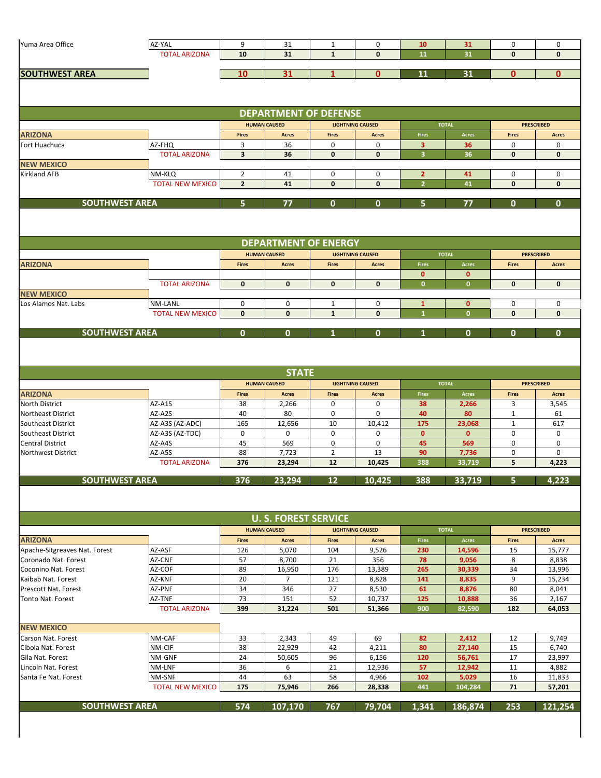| Yuma Area Office<br>AZ-YAL<br>9<br>31<br>0<br>$\mathbf 0$<br>$\mathbf{1}$<br>10<br>31<br>0<br>$\mathbf{1}$<br><b>TOTAL ARIZONA</b><br>10<br>31<br>$\mathbf{0}$<br>11<br>31<br>$\mathbf{0}$<br>$\mathbf{0}$<br>31<br>31<br><b>SOUTHWEST AREA</b><br>10<br>$\mathbf{1}$<br>$\mathbf{0}$<br>11<br>$\mathbf{0}$<br>$\mathbf{0}$<br><b>DEPARTMENT OF DEFENSE</b><br><b>TOTAL</b><br><b>HUMAN CAUSED</b><br><b>PRESCRIBED</b><br><b>LIGHTNING CAUSED</b><br><b>ARIZONA</b><br><b>Fires</b><br><b>Fires</b><br><b>Fires</b><br>Acres<br><b>Fires</b><br><b>Acres</b><br><b>Acres</b><br><b>Acres</b><br>3<br>AZ-FHQ<br>36<br>0<br>0<br>Fort Huachuca<br>3<br>36<br>0<br>0<br><b>TOTAL ARIZONA</b><br>$\overline{\mathbf{3}}$<br>$\overline{\mathbf{3}}$<br>36<br>$\mathbf 0$<br>$\mathbf{0}$<br>36<br>$\mathbf 0$<br>$\mathbf{0}$<br><b>NEW MEXICO</b><br>$\overline{2}$<br><b>Kirkland AFB</b><br>NM-KLQ<br>41<br>0<br>0<br>$\overline{2}$<br>41<br>0<br>0<br><b>TOTAL NEW MEXICO</b><br>$\overline{2}$<br>$\overline{2}$<br>41<br>$\mathbf{0}$<br>$\mathbf{0}$<br>41<br>$\mathbf{0}$<br>$\mathbf{0}$<br><b>SOUTHWEST AREA</b><br>5<br>5<br>$\mathbf{0}$<br>77<br>0<br>0<br>77<br>$\mathbf{0}$<br><b>DEPARTMENT OF ENERGY</b><br><b>HUMAN CAUSED</b><br><b>LIGHTNING CAUSED</b><br><b>TOTAL</b><br><b>PRESCRIBED</b><br><b>Fires</b><br><b>Fires</b><br><b>Fires</b><br>Acres<br><b>Fires</b><br><b>ARIZONA</b><br>Acres<br><b>Acres</b><br><b>Acres</b><br>$\mathbf{0}$<br>$\mathbf 0$<br><b>TOTAL ARIZONA</b><br>$\mathbf{0}$<br>$\mathbf{0}$<br>$\mathbf{0}$<br>$\mathbf{0}$<br>$\mathbf{0}$<br>$\mathbf{0}$<br>$\mathbf{0}$<br>$\mathbf{0}$<br><b>NEW MEXICO</b><br>Los Alamos Nat. Labs<br>NM-LANL<br>0<br>0<br>0<br>$\mathbf{0}$<br>0<br>0<br>1<br>$\mathbf{1}$<br><b>TOTAL NEW MEXICO</b><br>$\mathbf{0}$<br>$\mathbf{1}$<br>$\mathbf{0}$<br>$\mathbf{0}$<br>$\mathbf{1}$<br>$\mathbf{0}$<br>$\mathbf{0}$<br>$\bf{0}$<br><b>SOUTHWEST AREA</b><br>$\mathbf{0}$<br>$\mathbf{0}$<br>0<br>0<br>$\mathbf{0}$<br>$\mathbf{0}$<br><b>STATE</b><br><b>HUMAN CAUSED</b><br><b>LIGHTNING CAUSED</b><br><b>TOTAL</b><br><b>PRESCRIBED</b><br><b>ARIZONA</b><br><b>Fires</b><br><b>Fires</b><br><b>Fires</b><br>Acres<br><b>Fires</b><br><b>Acres</b><br><b>Acres</b><br><b>Acres</b><br>0<br>3<br><b>North District</b><br>AZ-A1S<br>38<br>2,266<br>0<br>38<br>2,266<br>3,545<br>AZ-A2S<br>40<br>80<br>0<br>0<br>40<br>80<br>$\mathbf{1}$<br><b>Northeast District</b><br>61<br>165<br>10<br>175<br>AZ-A3S (AZ-ADC)<br>12,656<br>10,412<br>$\mathbf{1}$<br>617<br>Southeast District<br>23,068<br>AZ-A3S (AZ-TDC)<br>0<br>0<br>0<br>$\mathbf 0$<br>0<br>Southeast District<br>0<br>$\mathbf{0}$<br>$\mathbf{0}$<br>AZ-A4S<br>45<br>569<br>0<br>0<br>45<br>569<br>0<br>0<br><b>Central District</b><br>AZ-A5S<br>88<br>7,723<br>$\overline{2}$<br>13<br><b>Northwest District</b><br>90<br>7,736<br>0<br>0<br>5<br><b>TOTAL ARIZONA</b><br>376<br>12<br>10,425<br>388<br>4,223<br>23,294<br>33,719<br>5 <sub>5</sub><br>4,223<br><b>SOUTHWEST AREA</b><br>388<br>376<br>23,294<br>12<br>10,425<br>33,719<br><b>U. S. FOREST SERVICE</b><br><b>HUMAN CAUSED</b><br><b>LIGHTNING CAUSED</b><br><b>TOTAL</b><br><b>PRESCRIBED</b><br>$\Large\bf Acres$<br><b>ARIZONA</b><br><b>Fires</b><br><b>Acres</b><br><b>Fires</b><br>Fires<br><b>Fires</b><br><b>Acres</b><br><b>Acres</b><br>Apache-Sitgreaves Nat. Forest<br>AZ-ASF<br>5,070<br>104<br>9,526<br>14,596<br>15<br>15,777<br>126<br>230<br>57<br>AZ-CNF<br>8,700<br>21<br>356<br>78<br>8<br>Coronado Nat. Forest<br>9,056<br>8,838<br>89<br>176<br>265<br>34<br>AZ-COF<br>16,950<br>13,389<br>30,339<br>13,996<br>Coconino Nat. Forest<br>Kaibab Nat. Forest<br>AZ-KNF<br>20<br>121<br>8,828<br>141<br>9<br>15,234<br>7<br>8,835<br>27<br>80<br>AZ-PNF<br>34<br>346<br>61<br>8,876<br>Prescott Nat. Forest<br>8,530<br>8,041<br>73<br>52<br>36<br>151<br>125<br>10,737<br>10,888<br>2,167<br><b>Tonto Nat. Forest</b><br>AZ-TNF<br><b>TOTAL ARIZONA</b><br>399<br>31,224<br>501<br>900<br>82,590<br>182<br>64,053<br>51,366<br><b>NEW MEXICO</b><br>49<br>9,749<br>Carson Nat. Forest<br>NM-CAF<br>33<br>2,343<br>69<br>82<br>2,412<br>12<br>NM-CIF<br>38<br>22,929<br>42<br>80<br>27,140<br>15<br>6,740<br>Cibola Nat. Forest<br>4,211<br>24<br>17<br>Gila Nat. Forest<br>NM-GNF<br>50,605<br>96<br>6,156<br>120<br>23,997<br>56,761<br>36<br>21<br>57<br>Lincoln Nat. Forest<br>NM-LNF<br>6<br>12,936<br>12,942<br>11<br>4,882<br>58<br>NM-SNF<br>44<br>63<br>4,966<br>102<br>5,029<br>16<br>11,833<br>Santa Fe Nat. Forest<br><b>TOTAL NEW MEXICO</b><br>175<br>75,946<br>266<br>441<br>104,284<br>71<br>28,338<br>57,201<br><b>SOUTHWEST AREA</b><br>574<br>767<br>1,341<br>186,874<br>253<br>121,254<br>107,170<br>79,704 |  |  |  |  |  |  |  |  |  |  |  |  |
|-------------------------------------------------------------------------------------------------------------------------------------------------------------------------------------------------------------------------------------------------------------------------------------------------------------------------------------------------------------------------------------------------------------------------------------------------------------------------------------------------------------------------------------------------------------------------------------------------------------------------------------------------------------------------------------------------------------------------------------------------------------------------------------------------------------------------------------------------------------------------------------------------------------------------------------------------------------------------------------------------------------------------------------------------------------------------------------------------------------------------------------------------------------------------------------------------------------------------------------------------------------------------------------------------------------------------------------------------------------------------------------------------------------------------------------------------------------------------------------------------------------------------------------------------------------------------------------------------------------------------------------------------------------------------------------------------------------------------------------------------------------------------------------------------------------------------------------------------------------------------------------------------------------------------------------------------------------------------------------------------------------------------------------------------------------------------------------------------------------------------------------------------------------------------------------------------------------------------------------------------------------------------------------------------------------------------------------------------------------------------------------------------------------------------------------------------------------------------------------------------------------------------------------------------------------------------------------------------------------------------------------------------------------------------------------------------------------------------------------------------------------------------------------------------------------------------------------------------------------------------------------------------------------------------------------------------------------------------------------------------------------------------------------------------------------------------------------------------------------------------------------------------------------------------------------------------------------------------------------------------------------------------------------------------------------------------------------------------------------------------------------------------------------------------------------------------------------------------------------------------------------------------------------------------------------------------------------------------------------------------------------------------------------------------------------------------------------------------------------------------------------------------------------------------------------------------------------------------------------------------------------------------------------------------------------------------------------------------------------------------------------------------------------------------------------------------------------------------------------------------------------------------------------------------------------------------------------------------------------------------------------------------------------------------------------------------------------------------------------------------------------------------------------------------------------------------------------------------------------------------------------------------------------------------------------------------------------------------------------------------------------------------------------------------------------------------------------------------------------------------------------------------|--|--|--|--|--|--|--|--|--|--|--|--|
|                                                                                                                                                                                                                                                                                                                                                                                                                                                                                                                                                                                                                                                                                                                                                                                                                                                                                                                                                                                                                                                                                                                                                                                                                                                                                                                                                                                                                                                                                                                                                                                                                                                                                                                                                                                                                                                                                                                                                                                                                                                                                                                                                                                                                                                                                                                                                                                                                                                                                                                                                                                                                                                                                                                                                                                                                                                                                                                                                                                                                                                                                                                                                                                                                                                                                                                                                                                                                                                                                                                                                                                                                                                                                                                                                                                                                                                                                                                                                                                                                                                                                                                                                                                                                                                                                                                                                                                                                                                                                                                                                                                                                                                                                                                                                                         |  |  |  |  |  |  |  |  |  |  |  |  |
|                                                                                                                                                                                                                                                                                                                                                                                                                                                                                                                                                                                                                                                                                                                                                                                                                                                                                                                                                                                                                                                                                                                                                                                                                                                                                                                                                                                                                                                                                                                                                                                                                                                                                                                                                                                                                                                                                                                                                                                                                                                                                                                                                                                                                                                                                                                                                                                                                                                                                                                                                                                                                                                                                                                                                                                                                                                                                                                                                                                                                                                                                                                                                                                                                                                                                                                                                                                                                                                                                                                                                                                                                                                                                                                                                                                                                                                                                                                                                                                                                                                                                                                                                                                                                                                                                                                                                                                                                                                                                                                                                                                                                                                                                                                                                                         |  |  |  |  |  |  |  |  |  |  |  |  |
|                                                                                                                                                                                                                                                                                                                                                                                                                                                                                                                                                                                                                                                                                                                                                                                                                                                                                                                                                                                                                                                                                                                                                                                                                                                                                                                                                                                                                                                                                                                                                                                                                                                                                                                                                                                                                                                                                                                                                                                                                                                                                                                                                                                                                                                                                                                                                                                                                                                                                                                                                                                                                                                                                                                                                                                                                                                                                                                                                                                                                                                                                                                                                                                                                                                                                                                                                                                                                                                                                                                                                                                                                                                                                                                                                                                                                                                                                                                                                                                                                                                                                                                                                                                                                                                                                                                                                                                                                                                                                                                                                                                                                                                                                                                                                                         |  |  |  |  |  |  |  |  |  |  |  |  |
|                                                                                                                                                                                                                                                                                                                                                                                                                                                                                                                                                                                                                                                                                                                                                                                                                                                                                                                                                                                                                                                                                                                                                                                                                                                                                                                                                                                                                                                                                                                                                                                                                                                                                                                                                                                                                                                                                                                                                                                                                                                                                                                                                                                                                                                                                                                                                                                                                                                                                                                                                                                                                                                                                                                                                                                                                                                                                                                                                                                                                                                                                                                                                                                                                                                                                                                                                                                                                                                                                                                                                                                                                                                                                                                                                                                                                                                                                                                                                                                                                                                                                                                                                                                                                                                                                                                                                                                                                                                                                                                                                                                                                                                                                                                                                                         |  |  |  |  |  |  |  |  |  |  |  |  |
|                                                                                                                                                                                                                                                                                                                                                                                                                                                                                                                                                                                                                                                                                                                                                                                                                                                                                                                                                                                                                                                                                                                                                                                                                                                                                                                                                                                                                                                                                                                                                                                                                                                                                                                                                                                                                                                                                                                                                                                                                                                                                                                                                                                                                                                                                                                                                                                                                                                                                                                                                                                                                                                                                                                                                                                                                                                                                                                                                                                                                                                                                                                                                                                                                                                                                                                                                                                                                                                                                                                                                                                                                                                                                                                                                                                                                                                                                                                                                                                                                                                                                                                                                                                                                                                                                                                                                                                                                                                                                                                                                                                                                                                                                                                                                                         |  |  |  |  |  |  |  |  |  |  |  |  |
|                                                                                                                                                                                                                                                                                                                                                                                                                                                                                                                                                                                                                                                                                                                                                                                                                                                                                                                                                                                                                                                                                                                                                                                                                                                                                                                                                                                                                                                                                                                                                                                                                                                                                                                                                                                                                                                                                                                                                                                                                                                                                                                                                                                                                                                                                                                                                                                                                                                                                                                                                                                                                                                                                                                                                                                                                                                                                                                                                                                                                                                                                                                                                                                                                                                                                                                                                                                                                                                                                                                                                                                                                                                                                                                                                                                                                                                                                                                                                                                                                                                                                                                                                                                                                                                                                                                                                                                                                                                                                                                                                                                                                                                                                                                                                                         |  |  |  |  |  |  |  |  |  |  |  |  |
|                                                                                                                                                                                                                                                                                                                                                                                                                                                                                                                                                                                                                                                                                                                                                                                                                                                                                                                                                                                                                                                                                                                                                                                                                                                                                                                                                                                                                                                                                                                                                                                                                                                                                                                                                                                                                                                                                                                                                                                                                                                                                                                                                                                                                                                                                                                                                                                                                                                                                                                                                                                                                                                                                                                                                                                                                                                                                                                                                                                                                                                                                                                                                                                                                                                                                                                                                                                                                                                                                                                                                                                                                                                                                                                                                                                                                                                                                                                                                                                                                                                                                                                                                                                                                                                                                                                                                                                                                                                                                                                                                                                                                                                                                                                                                                         |  |  |  |  |  |  |  |  |  |  |  |  |
|                                                                                                                                                                                                                                                                                                                                                                                                                                                                                                                                                                                                                                                                                                                                                                                                                                                                                                                                                                                                                                                                                                                                                                                                                                                                                                                                                                                                                                                                                                                                                                                                                                                                                                                                                                                                                                                                                                                                                                                                                                                                                                                                                                                                                                                                                                                                                                                                                                                                                                                                                                                                                                                                                                                                                                                                                                                                                                                                                                                                                                                                                                                                                                                                                                                                                                                                                                                                                                                                                                                                                                                                                                                                                                                                                                                                                                                                                                                                                                                                                                                                                                                                                                                                                                                                                                                                                                                                                                                                                                                                                                                                                                                                                                                                                                         |  |  |  |  |  |  |  |  |  |  |  |  |
|                                                                                                                                                                                                                                                                                                                                                                                                                                                                                                                                                                                                                                                                                                                                                                                                                                                                                                                                                                                                                                                                                                                                                                                                                                                                                                                                                                                                                                                                                                                                                                                                                                                                                                                                                                                                                                                                                                                                                                                                                                                                                                                                                                                                                                                                                                                                                                                                                                                                                                                                                                                                                                                                                                                                                                                                                                                                                                                                                                                                                                                                                                                                                                                                                                                                                                                                                                                                                                                                                                                                                                                                                                                                                                                                                                                                                                                                                                                                                                                                                                                                                                                                                                                                                                                                                                                                                                                                                                                                                                                                                                                                                                                                                                                                                                         |  |  |  |  |  |  |  |  |  |  |  |  |
|                                                                                                                                                                                                                                                                                                                                                                                                                                                                                                                                                                                                                                                                                                                                                                                                                                                                                                                                                                                                                                                                                                                                                                                                                                                                                                                                                                                                                                                                                                                                                                                                                                                                                                                                                                                                                                                                                                                                                                                                                                                                                                                                                                                                                                                                                                                                                                                                                                                                                                                                                                                                                                                                                                                                                                                                                                                                                                                                                                                                                                                                                                                                                                                                                                                                                                                                                                                                                                                                                                                                                                                                                                                                                                                                                                                                                                                                                                                                                                                                                                                                                                                                                                                                                                                                                                                                                                                                                                                                                                                                                                                                                                                                                                                                                                         |  |  |  |  |  |  |  |  |  |  |  |  |
|                                                                                                                                                                                                                                                                                                                                                                                                                                                                                                                                                                                                                                                                                                                                                                                                                                                                                                                                                                                                                                                                                                                                                                                                                                                                                                                                                                                                                                                                                                                                                                                                                                                                                                                                                                                                                                                                                                                                                                                                                                                                                                                                                                                                                                                                                                                                                                                                                                                                                                                                                                                                                                                                                                                                                                                                                                                                                                                                                                                                                                                                                                                                                                                                                                                                                                                                                                                                                                                                                                                                                                                                                                                                                                                                                                                                                                                                                                                                                                                                                                                                                                                                                                                                                                                                                                                                                                                                                                                                                                                                                                                                                                                                                                                                                                         |  |  |  |  |  |  |  |  |  |  |  |  |
|                                                                                                                                                                                                                                                                                                                                                                                                                                                                                                                                                                                                                                                                                                                                                                                                                                                                                                                                                                                                                                                                                                                                                                                                                                                                                                                                                                                                                                                                                                                                                                                                                                                                                                                                                                                                                                                                                                                                                                                                                                                                                                                                                                                                                                                                                                                                                                                                                                                                                                                                                                                                                                                                                                                                                                                                                                                                                                                                                                                                                                                                                                                                                                                                                                                                                                                                                                                                                                                                                                                                                                                                                                                                                                                                                                                                                                                                                                                                                                                                                                                                                                                                                                                                                                                                                                                                                                                                                                                                                                                                                                                                                                                                                                                                                                         |  |  |  |  |  |  |  |  |  |  |  |  |
|                                                                                                                                                                                                                                                                                                                                                                                                                                                                                                                                                                                                                                                                                                                                                                                                                                                                                                                                                                                                                                                                                                                                                                                                                                                                                                                                                                                                                                                                                                                                                                                                                                                                                                                                                                                                                                                                                                                                                                                                                                                                                                                                                                                                                                                                                                                                                                                                                                                                                                                                                                                                                                                                                                                                                                                                                                                                                                                                                                                                                                                                                                                                                                                                                                                                                                                                                                                                                                                                                                                                                                                                                                                                                                                                                                                                                                                                                                                                                                                                                                                                                                                                                                                                                                                                                                                                                                                                                                                                                                                                                                                                                                                                                                                                                                         |  |  |  |  |  |  |  |  |  |  |  |  |
|                                                                                                                                                                                                                                                                                                                                                                                                                                                                                                                                                                                                                                                                                                                                                                                                                                                                                                                                                                                                                                                                                                                                                                                                                                                                                                                                                                                                                                                                                                                                                                                                                                                                                                                                                                                                                                                                                                                                                                                                                                                                                                                                                                                                                                                                                                                                                                                                                                                                                                                                                                                                                                                                                                                                                                                                                                                                                                                                                                                                                                                                                                                                                                                                                                                                                                                                                                                                                                                                                                                                                                                                                                                                                                                                                                                                                                                                                                                                                                                                                                                                                                                                                                                                                                                                                                                                                                                                                                                                                                                                                                                                                                                                                                                                                                         |  |  |  |  |  |  |  |  |  |  |  |  |
|                                                                                                                                                                                                                                                                                                                                                                                                                                                                                                                                                                                                                                                                                                                                                                                                                                                                                                                                                                                                                                                                                                                                                                                                                                                                                                                                                                                                                                                                                                                                                                                                                                                                                                                                                                                                                                                                                                                                                                                                                                                                                                                                                                                                                                                                                                                                                                                                                                                                                                                                                                                                                                                                                                                                                                                                                                                                                                                                                                                                                                                                                                                                                                                                                                                                                                                                                                                                                                                                                                                                                                                                                                                                                                                                                                                                                                                                                                                                                                                                                                                                                                                                                                                                                                                                                                                                                                                                                                                                                                                                                                                                                                                                                                                                                                         |  |  |  |  |  |  |  |  |  |  |  |  |
|                                                                                                                                                                                                                                                                                                                                                                                                                                                                                                                                                                                                                                                                                                                                                                                                                                                                                                                                                                                                                                                                                                                                                                                                                                                                                                                                                                                                                                                                                                                                                                                                                                                                                                                                                                                                                                                                                                                                                                                                                                                                                                                                                                                                                                                                                                                                                                                                                                                                                                                                                                                                                                                                                                                                                                                                                                                                                                                                                                                                                                                                                                                                                                                                                                                                                                                                                                                                                                                                                                                                                                                                                                                                                                                                                                                                                                                                                                                                                                                                                                                                                                                                                                                                                                                                                                                                                                                                                                                                                                                                                                                                                                                                                                                                                                         |  |  |  |  |  |  |  |  |  |  |  |  |
|                                                                                                                                                                                                                                                                                                                                                                                                                                                                                                                                                                                                                                                                                                                                                                                                                                                                                                                                                                                                                                                                                                                                                                                                                                                                                                                                                                                                                                                                                                                                                                                                                                                                                                                                                                                                                                                                                                                                                                                                                                                                                                                                                                                                                                                                                                                                                                                                                                                                                                                                                                                                                                                                                                                                                                                                                                                                                                                                                                                                                                                                                                                                                                                                                                                                                                                                                                                                                                                                                                                                                                                                                                                                                                                                                                                                                                                                                                                                                                                                                                                                                                                                                                                                                                                                                                                                                                                                                                                                                                                                                                                                                                                                                                                                                                         |  |  |  |  |  |  |  |  |  |  |  |  |
|                                                                                                                                                                                                                                                                                                                                                                                                                                                                                                                                                                                                                                                                                                                                                                                                                                                                                                                                                                                                                                                                                                                                                                                                                                                                                                                                                                                                                                                                                                                                                                                                                                                                                                                                                                                                                                                                                                                                                                                                                                                                                                                                                                                                                                                                                                                                                                                                                                                                                                                                                                                                                                                                                                                                                                                                                                                                                                                                                                                                                                                                                                                                                                                                                                                                                                                                                                                                                                                                                                                                                                                                                                                                                                                                                                                                                                                                                                                                                                                                                                                                                                                                                                                                                                                                                                                                                                                                                                                                                                                                                                                                                                                                                                                                                                         |  |  |  |  |  |  |  |  |  |  |  |  |
|                                                                                                                                                                                                                                                                                                                                                                                                                                                                                                                                                                                                                                                                                                                                                                                                                                                                                                                                                                                                                                                                                                                                                                                                                                                                                                                                                                                                                                                                                                                                                                                                                                                                                                                                                                                                                                                                                                                                                                                                                                                                                                                                                                                                                                                                                                                                                                                                                                                                                                                                                                                                                                                                                                                                                                                                                                                                                                                                                                                                                                                                                                                                                                                                                                                                                                                                                                                                                                                                                                                                                                                                                                                                                                                                                                                                                                                                                                                                                                                                                                                                                                                                                                                                                                                                                                                                                                                                                                                                                                                                                                                                                                                                                                                                                                         |  |  |  |  |  |  |  |  |  |  |  |  |
|                                                                                                                                                                                                                                                                                                                                                                                                                                                                                                                                                                                                                                                                                                                                                                                                                                                                                                                                                                                                                                                                                                                                                                                                                                                                                                                                                                                                                                                                                                                                                                                                                                                                                                                                                                                                                                                                                                                                                                                                                                                                                                                                                                                                                                                                                                                                                                                                                                                                                                                                                                                                                                                                                                                                                                                                                                                                                                                                                                                                                                                                                                                                                                                                                                                                                                                                                                                                                                                                                                                                                                                                                                                                                                                                                                                                                                                                                                                                                                                                                                                                                                                                                                                                                                                                                                                                                                                                                                                                                                                                                                                                                                                                                                                                                                         |  |  |  |  |  |  |  |  |  |  |  |  |
|                                                                                                                                                                                                                                                                                                                                                                                                                                                                                                                                                                                                                                                                                                                                                                                                                                                                                                                                                                                                                                                                                                                                                                                                                                                                                                                                                                                                                                                                                                                                                                                                                                                                                                                                                                                                                                                                                                                                                                                                                                                                                                                                                                                                                                                                                                                                                                                                                                                                                                                                                                                                                                                                                                                                                                                                                                                                                                                                                                                                                                                                                                                                                                                                                                                                                                                                                                                                                                                                                                                                                                                                                                                                                                                                                                                                                                                                                                                                                                                                                                                                                                                                                                                                                                                                                                                                                                                                                                                                                                                                                                                                                                                                                                                                                                         |  |  |  |  |  |  |  |  |  |  |  |  |
|                                                                                                                                                                                                                                                                                                                                                                                                                                                                                                                                                                                                                                                                                                                                                                                                                                                                                                                                                                                                                                                                                                                                                                                                                                                                                                                                                                                                                                                                                                                                                                                                                                                                                                                                                                                                                                                                                                                                                                                                                                                                                                                                                                                                                                                                                                                                                                                                                                                                                                                                                                                                                                                                                                                                                                                                                                                                                                                                                                                                                                                                                                                                                                                                                                                                                                                                                                                                                                                                                                                                                                                                                                                                                                                                                                                                                                                                                                                                                                                                                                                                                                                                                                                                                                                                                                                                                                                                                                                                                                                                                                                                                                                                                                                                                                         |  |  |  |  |  |  |  |  |  |  |  |  |
|                                                                                                                                                                                                                                                                                                                                                                                                                                                                                                                                                                                                                                                                                                                                                                                                                                                                                                                                                                                                                                                                                                                                                                                                                                                                                                                                                                                                                                                                                                                                                                                                                                                                                                                                                                                                                                                                                                                                                                                                                                                                                                                                                                                                                                                                                                                                                                                                                                                                                                                                                                                                                                                                                                                                                                                                                                                                                                                                                                                                                                                                                                                                                                                                                                                                                                                                                                                                                                                                                                                                                                                                                                                                                                                                                                                                                                                                                                                                                                                                                                                                                                                                                                                                                                                                                                                                                                                                                                                                                                                                                                                                                                                                                                                                                                         |  |  |  |  |  |  |  |  |  |  |  |  |
|                                                                                                                                                                                                                                                                                                                                                                                                                                                                                                                                                                                                                                                                                                                                                                                                                                                                                                                                                                                                                                                                                                                                                                                                                                                                                                                                                                                                                                                                                                                                                                                                                                                                                                                                                                                                                                                                                                                                                                                                                                                                                                                                                                                                                                                                                                                                                                                                                                                                                                                                                                                                                                                                                                                                                                                                                                                                                                                                                                                                                                                                                                                                                                                                                                                                                                                                                                                                                                                                                                                                                                                                                                                                                                                                                                                                                                                                                                                                                                                                                                                                                                                                                                                                                                                                                                                                                                                                                                                                                                                                                                                                                                                                                                                                                                         |  |  |  |  |  |  |  |  |  |  |  |  |
|                                                                                                                                                                                                                                                                                                                                                                                                                                                                                                                                                                                                                                                                                                                                                                                                                                                                                                                                                                                                                                                                                                                                                                                                                                                                                                                                                                                                                                                                                                                                                                                                                                                                                                                                                                                                                                                                                                                                                                                                                                                                                                                                                                                                                                                                                                                                                                                                                                                                                                                                                                                                                                                                                                                                                                                                                                                                                                                                                                                                                                                                                                                                                                                                                                                                                                                                                                                                                                                                                                                                                                                                                                                                                                                                                                                                                                                                                                                                                                                                                                                                                                                                                                                                                                                                                                                                                                                                                                                                                                                                                                                                                                                                                                                                                                         |  |  |  |  |  |  |  |  |  |  |  |  |
|                                                                                                                                                                                                                                                                                                                                                                                                                                                                                                                                                                                                                                                                                                                                                                                                                                                                                                                                                                                                                                                                                                                                                                                                                                                                                                                                                                                                                                                                                                                                                                                                                                                                                                                                                                                                                                                                                                                                                                                                                                                                                                                                                                                                                                                                                                                                                                                                                                                                                                                                                                                                                                                                                                                                                                                                                                                                                                                                                                                                                                                                                                                                                                                                                                                                                                                                                                                                                                                                                                                                                                                                                                                                                                                                                                                                                                                                                                                                                                                                                                                                                                                                                                                                                                                                                                                                                                                                                                                                                                                                                                                                                                                                                                                                                                         |  |  |  |  |  |  |  |  |  |  |  |  |
|                                                                                                                                                                                                                                                                                                                                                                                                                                                                                                                                                                                                                                                                                                                                                                                                                                                                                                                                                                                                                                                                                                                                                                                                                                                                                                                                                                                                                                                                                                                                                                                                                                                                                                                                                                                                                                                                                                                                                                                                                                                                                                                                                                                                                                                                                                                                                                                                                                                                                                                                                                                                                                                                                                                                                                                                                                                                                                                                                                                                                                                                                                                                                                                                                                                                                                                                                                                                                                                                                                                                                                                                                                                                                                                                                                                                                                                                                                                                                                                                                                                                                                                                                                                                                                                                                                                                                                                                                                                                                                                                                                                                                                                                                                                                                                         |  |  |  |  |  |  |  |  |  |  |  |  |
|                                                                                                                                                                                                                                                                                                                                                                                                                                                                                                                                                                                                                                                                                                                                                                                                                                                                                                                                                                                                                                                                                                                                                                                                                                                                                                                                                                                                                                                                                                                                                                                                                                                                                                                                                                                                                                                                                                                                                                                                                                                                                                                                                                                                                                                                                                                                                                                                                                                                                                                                                                                                                                                                                                                                                                                                                                                                                                                                                                                                                                                                                                                                                                                                                                                                                                                                                                                                                                                                                                                                                                                                                                                                                                                                                                                                                                                                                                                                                                                                                                                                                                                                                                                                                                                                                                                                                                                                                                                                                                                                                                                                                                                                                                                                                                         |  |  |  |  |  |  |  |  |  |  |  |  |
|                                                                                                                                                                                                                                                                                                                                                                                                                                                                                                                                                                                                                                                                                                                                                                                                                                                                                                                                                                                                                                                                                                                                                                                                                                                                                                                                                                                                                                                                                                                                                                                                                                                                                                                                                                                                                                                                                                                                                                                                                                                                                                                                                                                                                                                                                                                                                                                                                                                                                                                                                                                                                                                                                                                                                                                                                                                                                                                                                                                                                                                                                                                                                                                                                                                                                                                                                                                                                                                                                                                                                                                                                                                                                                                                                                                                                                                                                                                                                                                                                                                                                                                                                                                                                                                                                                                                                                                                                                                                                                                                                                                                                                                                                                                                                                         |  |  |  |  |  |  |  |  |  |  |  |  |
|                                                                                                                                                                                                                                                                                                                                                                                                                                                                                                                                                                                                                                                                                                                                                                                                                                                                                                                                                                                                                                                                                                                                                                                                                                                                                                                                                                                                                                                                                                                                                                                                                                                                                                                                                                                                                                                                                                                                                                                                                                                                                                                                                                                                                                                                                                                                                                                                                                                                                                                                                                                                                                                                                                                                                                                                                                                                                                                                                                                                                                                                                                                                                                                                                                                                                                                                                                                                                                                                                                                                                                                                                                                                                                                                                                                                                                                                                                                                                                                                                                                                                                                                                                                                                                                                                                                                                                                                                                                                                                                                                                                                                                                                                                                                                                         |  |  |  |  |  |  |  |  |  |  |  |  |
|                                                                                                                                                                                                                                                                                                                                                                                                                                                                                                                                                                                                                                                                                                                                                                                                                                                                                                                                                                                                                                                                                                                                                                                                                                                                                                                                                                                                                                                                                                                                                                                                                                                                                                                                                                                                                                                                                                                                                                                                                                                                                                                                                                                                                                                                                                                                                                                                                                                                                                                                                                                                                                                                                                                                                                                                                                                                                                                                                                                                                                                                                                                                                                                                                                                                                                                                                                                                                                                                                                                                                                                                                                                                                                                                                                                                                                                                                                                                                                                                                                                                                                                                                                                                                                                                                                                                                                                                                                                                                                                                                                                                                                                                                                                                                                         |  |  |  |  |  |  |  |  |  |  |  |  |
|                                                                                                                                                                                                                                                                                                                                                                                                                                                                                                                                                                                                                                                                                                                                                                                                                                                                                                                                                                                                                                                                                                                                                                                                                                                                                                                                                                                                                                                                                                                                                                                                                                                                                                                                                                                                                                                                                                                                                                                                                                                                                                                                                                                                                                                                                                                                                                                                                                                                                                                                                                                                                                                                                                                                                                                                                                                                                                                                                                                                                                                                                                                                                                                                                                                                                                                                                                                                                                                                                                                                                                                                                                                                                                                                                                                                                                                                                                                                                                                                                                                                                                                                                                                                                                                                                                                                                                                                                                                                                                                                                                                                                                                                                                                                                                         |  |  |  |  |  |  |  |  |  |  |  |  |
|                                                                                                                                                                                                                                                                                                                                                                                                                                                                                                                                                                                                                                                                                                                                                                                                                                                                                                                                                                                                                                                                                                                                                                                                                                                                                                                                                                                                                                                                                                                                                                                                                                                                                                                                                                                                                                                                                                                                                                                                                                                                                                                                                                                                                                                                                                                                                                                                                                                                                                                                                                                                                                                                                                                                                                                                                                                                                                                                                                                                                                                                                                                                                                                                                                                                                                                                                                                                                                                                                                                                                                                                                                                                                                                                                                                                                                                                                                                                                                                                                                                                                                                                                                                                                                                                                                                                                                                                                                                                                                                                                                                                                                                                                                                                                                         |  |  |  |  |  |  |  |  |  |  |  |  |
|                                                                                                                                                                                                                                                                                                                                                                                                                                                                                                                                                                                                                                                                                                                                                                                                                                                                                                                                                                                                                                                                                                                                                                                                                                                                                                                                                                                                                                                                                                                                                                                                                                                                                                                                                                                                                                                                                                                                                                                                                                                                                                                                                                                                                                                                                                                                                                                                                                                                                                                                                                                                                                                                                                                                                                                                                                                                                                                                                                                                                                                                                                                                                                                                                                                                                                                                                                                                                                                                                                                                                                                                                                                                                                                                                                                                                                                                                                                                                                                                                                                                                                                                                                                                                                                                                                                                                                                                                                                                                                                                                                                                                                                                                                                                                                         |  |  |  |  |  |  |  |  |  |  |  |  |
|                                                                                                                                                                                                                                                                                                                                                                                                                                                                                                                                                                                                                                                                                                                                                                                                                                                                                                                                                                                                                                                                                                                                                                                                                                                                                                                                                                                                                                                                                                                                                                                                                                                                                                                                                                                                                                                                                                                                                                                                                                                                                                                                                                                                                                                                                                                                                                                                                                                                                                                                                                                                                                                                                                                                                                                                                                                                                                                                                                                                                                                                                                                                                                                                                                                                                                                                                                                                                                                                                                                                                                                                                                                                                                                                                                                                                                                                                                                                                                                                                                                                                                                                                                                                                                                                                                                                                                                                                                                                                                                                                                                                                                                                                                                                                                         |  |  |  |  |  |  |  |  |  |  |  |  |
|                                                                                                                                                                                                                                                                                                                                                                                                                                                                                                                                                                                                                                                                                                                                                                                                                                                                                                                                                                                                                                                                                                                                                                                                                                                                                                                                                                                                                                                                                                                                                                                                                                                                                                                                                                                                                                                                                                                                                                                                                                                                                                                                                                                                                                                                                                                                                                                                                                                                                                                                                                                                                                                                                                                                                                                                                                                                                                                                                                                                                                                                                                                                                                                                                                                                                                                                                                                                                                                                                                                                                                                                                                                                                                                                                                                                                                                                                                                                                                                                                                                                                                                                                                                                                                                                                                                                                                                                                                                                                                                                                                                                                                                                                                                                                                         |  |  |  |  |  |  |  |  |  |  |  |  |
|                                                                                                                                                                                                                                                                                                                                                                                                                                                                                                                                                                                                                                                                                                                                                                                                                                                                                                                                                                                                                                                                                                                                                                                                                                                                                                                                                                                                                                                                                                                                                                                                                                                                                                                                                                                                                                                                                                                                                                                                                                                                                                                                                                                                                                                                                                                                                                                                                                                                                                                                                                                                                                                                                                                                                                                                                                                                                                                                                                                                                                                                                                                                                                                                                                                                                                                                                                                                                                                                                                                                                                                                                                                                                                                                                                                                                                                                                                                                                                                                                                                                                                                                                                                                                                                                                                                                                                                                                                                                                                                                                                                                                                                                                                                                                                         |  |  |  |  |  |  |  |  |  |  |  |  |
|                                                                                                                                                                                                                                                                                                                                                                                                                                                                                                                                                                                                                                                                                                                                                                                                                                                                                                                                                                                                                                                                                                                                                                                                                                                                                                                                                                                                                                                                                                                                                                                                                                                                                                                                                                                                                                                                                                                                                                                                                                                                                                                                                                                                                                                                                                                                                                                                                                                                                                                                                                                                                                                                                                                                                                                                                                                                                                                                                                                                                                                                                                                                                                                                                                                                                                                                                                                                                                                                                                                                                                                                                                                                                                                                                                                                                                                                                                                                                                                                                                                                                                                                                                                                                                                                                                                                                                                                                                                                                                                                                                                                                                                                                                                                                                         |  |  |  |  |  |  |  |  |  |  |  |  |
|                                                                                                                                                                                                                                                                                                                                                                                                                                                                                                                                                                                                                                                                                                                                                                                                                                                                                                                                                                                                                                                                                                                                                                                                                                                                                                                                                                                                                                                                                                                                                                                                                                                                                                                                                                                                                                                                                                                                                                                                                                                                                                                                                                                                                                                                                                                                                                                                                                                                                                                                                                                                                                                                                                                                                                                                                                                                                                                                                                                                                                                                                                                                                                                                                                                                                                                                                                                                                                                                                                                                                                                                                                                                                                                                                                                                                                                                                                                                                                                                                                                                                                                                                                                                                                                                                                                                                                                                                                                                                                                                                                                                                                                                                                                                                                         |  |  |  |  |  |  |  |  |  |  |  |  |
|                                                                                                                                                                                                                                                                                                                                                                                                                                                                                                                                                                                                                                                                                                                                                                                                                                                                                                                                                                                                                                                                                                                                                                                                                                                                                                                                                                                                                                                                                                                                                                                                                                                                                                                                                                                                                                                                                                                                                                                                                                                                                                                                                                                                                                                                                                                                                                                                                                                                                                                                                                                                                                                                                                                                                                                                                                                                                                                                                                                                                                                                                                                                                                                                                                                                                                                                                                                                                                                                                                                                                                                                                                                                                                                                                                                                                                                                                                                                                                                                                                                                                                                                                                                                                                                                                                                                                                                                                                                                                                                                                                                                                                                                                                                                                                         |  |  |  |  |  |  |  |  |  |  |  |  |
|                                                                                                                                                                                                                                                                                                                                                                                                                                                                                                                                                                                                                                                                                                                                                                                                                                                                                                                                                                                                                                                                                                                                                                                                                                                                                                                                                                                                                                                                                                                                                                                                                                                                                                                                                                                                                                                                                                                                                                                                                                                                                                                                                                                                                                                                                                                                                                                                                                                                                                                                                                                                                                                                                                                                                                                                                                                                                                                                                                                                                                                                                                                                                                                                                                                                                                                                                                                                                                                                                                                                                                                                                                                                                                                                                                                                                                                                                                                                                                                                                                                                                                                                                                                                                                                                                                                                                                                                                                                                                                                                                                                                                                                                                                                                                                         |  |  |  |  |  |  |  |  |  |  |  |  |
|                                                                                                                                                                                                                                                                                                                                                                                                                                                                                                                                                                                                                                                                                                                                                                                                                                                                                                                                                                                                                                                                                                                                                                                                                                                                                                                                                                                                                                                                                                                                                                                                                                                                                                                                                                                                                                                                                                                                                                                                                                                                                                                                                                                                                                                                                                                                                                                                                                                                                                                                                                                                                                                                                                                                                                                                                                                                                                                                                                                                                                                                                                                                                                                                                                                                                                                                                                                                                                                                                                                                                                                                                                                                                                                                                                                                                                                                                                                                                                                                                                                                                                                                                                                                                                                                                                                                                                                                                                                                                                                                                                                                                                                                                                                                                                         |  |  |  |  |  |  |  |  |  |  |  |  |
|                                                                                                                                                                                                                                                                                                                                                                                                                                                                                                                                                                                                                                                                                                                                                                                                                                                                                                                                                                                                                                                                                                                                                                                                                                                                                                                                                                                                                                                                                                                                                                                                                                                                                                                                                                                                                                                                                                                                                                                                                                                                                                                                                                                                                                                                                                                                                                                                                                                                                                                                                                                                                                                                                                                                                                                                                                                                                                                                                                                                                                                                                                                                                                                                                                                                                                                                                                                                                                                                                                                                                                                                                                                                                                                                                                                                                                                                                                                                                                                                                                                                                                                                                                                                                                                                                                                                                                                                                                                                                                                                                                                                                                                                                                                                                                         |  |  |  |  |  |  |  |  |  |  |  |  |
|                                                                                                                                                                                                                                                                                                                                                                                                                                                                                                                                                                                                                                                                                                                                                                                                                                                                                                                                                                                                                                                                                                                                                                                                                                                                                                                                                                                                                                                                                                                                                                                                                                                                                                                                                                                                                                                                                                                                                                                                                                                                                                                                                                                                                                                                                                                                                                                                                                                                                                                                                                                                                                                                                                                                                                                                                                                                                                                                                                                                                                                                                                                                                                                                                                                                                                                                                                                                                                                                                                                                                                                                                                                                                                                                                                                                                                                                                                                                                                                                                                                                                                                                                                                                                                                                                                                                                                                                                                                                                                                                                                                                                                                                                                                                                                         |  |  |  |  |  |  |  |  |  |  |  |  |
|                                                                                                                                                                                                                                                                                                                                                                                                                                                                                                                                                                                                                                                                                                                                                                                                                                                                                                                                                                                                                                                                                                                                                                                                                                                                                                                                                                                                                                                                                                                                                                                                                                                                                                                                                                                                                                                                                                                                                                                                                                                                                                                                                                                                                                                                                                                                                                                                                                                                                                                                                                                                                                                                                                                                                                                                                                                                                                                                                                                                                                                                                                                                                                                                                                                                                                                                                                                                                                                                                                                                                                                                                                                                                                                                                                                                                                                                                                                                                                                                                                                                                                                                                                                                                                                                                                                                                                                                                                                                                                                                                                                                                                                                                                                                                                         |  |  |  |  |  |  |  |  |  |  |  |  |
|                                                                                                                                                                                                                                                                                                                                                                                                                                                                                                                                                                                                                                                                                                                                                                                                                                                                                                                                                                                                                                                                                                                                                                                                                                                                                                                                                                                                                                                                                                                                                                                                                                                                                                                                                                                                                                                                                                                                                                                                                                                                                                                                                                                                                                                                                                                                                                                                                                                                                                                                                                                                                                                                                                                                                                                                                                                                                                                                                                                                                                                                                                                                                                                                                                                                                                                                                                                                                                                                                                                                                                                                                                                                                                                                                                                                                                                                                                                                                                                                                                                                                                                                                                                                                                                                                                                                                                                                                                                                                                                                                                                                                                                                                                                                                                         |  |  |  |  |  |  |  |  |  |  |  |  |
|                                                                                                                                                                                                                                                                                                                                                                                                                                                                                                                                                                                                                                                                                                                                                                                                                                                                                                                                                                                                                                                                                                                                                                                                                                                                                                                                                                                                                                                                                                                                                                                                                                                                                                                                                                                                                                                                                                                                                                                                                                                                                                                                                                                                                                                                                                                                                                                                                                                                                                                                                                                                                                                                                                                                                                                                                                                                                                                                                                                                                                                                                                                                                                                                                                                                                                                                                                                                                                                                                                                                                                                                                                                                                                                                                                                                                                                                                                                                                                                                                                                                                                                                                                                                                                                                                                                                                                                                                                                                                                                                                                                                                                                                                                                                                                         |  |  |  |  |  |  |  |  |  |  |  |  |
|                                                                                                                                                                                                                                                                                                                                                                                                                                                                                                                                                                                                                                                                                                                                                                                                                                                                                                                                                                                                                                                                                                                                                                                                                                                                                                                                                                                                                                                                                                                                                                                                                                                                                                                                                                                                                                                                                                                                                                                                                                                                                                                                                                                                                                                                                                                                                                                                                                                                                                                                                                                                                                                                                                                                                                                                                                                                                                                                                                                                                                                                                                                                                                                                                                                                                                                                                                                                                                                                                                                                                                                                                                                                                                                                                                                                                                                                                                                                                                                                                                                                                                                                                                                                                                                                                                                                                                                                                                                                                                                                                                                                                                                                                                                                                                         |  |  |  |  |  |  |  |  |  |  |  |  |
|                                                                                                                                                                                                                                                                                                                                                                                                                                                                                                                                                                                                                                                                                                                                                                                                                                                                                                                                                                                                                                                                                                                                                                                                                                                                                                                                                                                                                                                                                                                                                                                                                                                                                                                                                                                                                                                                                                                                                                                                                                                                                                                                                                                                                                                                                                                                                                                                                                                                                                                                                                                                                                                                                                                                                                                                                                                                                                                                                                                                                                                                                                                                                                                                                                                                                                                                                                                                                                                                                                                                                                                                                                                                                                                                                                                                                                                                                                                                                                                                                                                                                                                                                                                                                                                                                                                                                                                                                                                                                                                                                                                                                                                                                                                                                                         |  |  |  |  |  |  |  |  |  |  |  |  |
|                                                                                                                                                                                                                                                                                                                                                                                                                                                                                                                                                                                                                                                                                                                                                                                                                                                                                                                                                                                                                                                                                                                                                                                                                                                                                                                                                                                                                                                                                                                                                                                                                                                                                                                                                                                                                                                                                                                                                                                                                                                                                                                                                                                                                                                                                                                                                                                                                                                                                                                                                                                                                                                                                                                                                                                                                                                                                                                                                                                                                                                                                                                                                                                                                                                                                                                                                                                                                                                                                                                                                                                                                                                                                                                                                                                                                                                                                                                                                                                                                                                                                                                                                                                                                                                                                                                                                                                                                                                                                                                                                                                                                                                                                                                                                                         |  |  |  |  |  |  |  |  |  |  |  |  |
|                                                                                                                                                                                                                                                                                                                                                                                                                                                                                                                                                                                                                                                                                                                                                                                                                                                                                                                                                                                                                                                                                                                                                                                                                                                                                                                                                                                                                                                                                                                                                                                                                                                                                                                                                                                                                                                                                                                                                                                                                                                                                                                                                                                                                                                                                                                                                                                                                                                                                                                                                                                                                                                                                                                                                                                                                                                                                                                                                                                                                                                                                                                                                                                                                                                                                                                                                                                                                                                                                                                                                                                                                                                                                                                                                                                                                                                                                                                                                                                                                                                                                                                                                                                                                                                                                                                                                                                                                                                                                                                                                                                                                                                                                                                                                                         |  |  |  |  |  |  |  |  |  |  |  |  |
|                                                                                                                                                                                                                                                                                                                                                                                                                                                                                                                                                                                                                                                                                                                                                                                                                                                                                                                                                                                                                                                                                                                                                                                                                                                                                                                                                                                                                                                                                                                                                                                                                                                                                                                                                                                                                                                                                                                                                                                                                                                                                                                                                                                                                                                                                                                                                                                                                                                                                                                                                                                                                                                                                                                                                                                                                                                                                                                                                                                                                                                                                                                                                                                                                                                                                                                                                                                                                                                                                                                                                                                                                                                                                                                                                                                                                                                                                                                                                                                                                                                                                                                                                                                                                                                                                                                                                                                                                                                                                                                                                                                                                                                                                                                                                                         |  |  |  |  |  |  |  |  |  |  |  |  |
|                                                                                                                                                                                                                                                                                                                                                                                                                                                                                                                                                                                                                                                                                                                                                                                                                                                                                                                                                                                                                                                                                                                                                                                                                                                                                                                                                                                                                                                                                                                                                                                                                                                                                                                                                                                                                                                                                                                                                                                                                                                                                                                                                                                                                                                                                                                                                                                                                                                                                                                                                                                                                                                                                                                                                                                                                                                                                                                                                                                                                                                                                                                                                                                                                                                                                                                                                                                                                                                                                                                                                                                                                                                                                                                                                                                                                                                                                                                                                                                                                                                                                                                                                                                                                                                                                                                                                                                                                                                                                                                                                                                                                                                                                                                                                                         |  |  |  |  |  |  |  |  |  |  |  |  |
|                                                                                                                                                                                                                                                                                                                                                                                                                                                                                                                                                                                                                                                                                                                                                                                                                                                                                                                                                                                                                                                                                                                                                                                                                                                                                                                                                                                                                                                                                                                                                                                                                                                                                                                                                                                                                                                                                                                                                                                                                                                                                                                                                                                                                                                                                                                                                                                                                                                                                                                                                                                                                                                                                                                                                                                                                                                                                                                                                                                                                                                                                                                                                                                                                                                                                                                                                                                                                                                                                                                                                                                                                                                                                                                                                                                                                                                                                                                                                                                                                                                                                                                                                                                                                                                                                                                                                                                                                                                                                                                                                                                                                                                                                                                                                                         |  |  |  |  |  |  |  |  |  |  |  |  |
|                                                                                                                                                                                                                                                                                                                                                                                                                                                                                                                                                                                                                                                                                                                                                                                                                                                                                                                                                                                                                                                                                                                                                                                                                                                                                                                                                                                                                                                                                                                                                                                                                                                                                                                                                                                                                                                                                                                                                                                                                                                                                                                                                                                                                                                                                                                                                                                                                                                                                                                                                                                                                                                                                                                                                                                                                                                                                                                                                                                                                                                                                                                                                                                                                                                                                                                                                                                                                                                                                                                                                                                                                                                                                                                                                                                                                                                                                                                                                                                                                                                                                                                                                                                                                                                                                                                                                                                                                                                                                                                                                                                                                                                                                                                                                                         |  |  |  |  |  |  |  |  |  |  |  |  |
|                                                                                                                                                                                                                                                                                                                                                                                                                                                                                                                                                                                                                                                                                                                                                                                                                                                                                                                                                                                                                                                                                                                                                                                                                                                                                                                                                                                                                                                                                                                                                                                                                                                                                                                                                                                                                                                                                                                                                                                                                                                                                                                                                                                                                                                                                                                                                                                                                                                                                                                                                                                                                                                                                                                                                                                                                                                                                                                                                                                                                                                                                                                                                                                                                                                                                                                                                                                                                                                                                                                                                                                                                                                                                                                                                                                                                                                                                                                                                                                                                                                                                                                                                                                                                                                                                                                                                                                                                                                                                                                                                                                                                                                                                                                                                                         |  |  |  |  |  |  |  |  |  |  |  |  |
|                                                                                                                                                                                                                                                                                                                                                                                                                                                                                                                                                                                                                                                                                                                                                                                                                                                                                                                                                                                                                                                                                                                                                                                                                                                                                                                                                                                                                                                                                                                                                                                                                                                                                                                                                                                                                                                                                                                                                                                                                                                                                                                                                                                                                                                                                                                                                                                                                                                                                                                                                                                                                                                                                                                                                                                                                                                                                                                                                                                                                                                                                                                                                                                                                                                                                                                                                                                                                                                                                                                                                                                                                                                                                                                                                                                                                                                                                                                                                                                                                                                                                                                                                                                                                                                                                                                                                                                                                                                                                                                                                                                                                                                                                                                                                                         |  |  |  |  |  |  |  |  |  |  |  |  |
|                                                                                                                                                                                                                                                                                                                                                                                                                                                                                                                                                                                                                                                                                                                                                                                                                                                                                                                                                                                                                                                                                                                                                                                                                                                                                                                                                                                                                                                                                                                                                                                                                                                                                                                                                                                                                                                                                                                                                                                                                                                                                                                                                                                                                                                                                                                                                                                                                                                                                                                                                                                                                                                                                                                                                                                                                                                                                                                                                                                                                                                                                                                                                                                                                                                                                                                                                                                                                                                                                                                                                                                                                                                                                                                                                                                                                                                                                                                                                                                                                                                                                                                                                                                                                                                                                                                                                                                                                                                                                                                                                                                                                                                                                                                                                                         |  |  |  |  |  |  |  |  |  |  |  |  |
|                                                                                                                                                                                                                                                                                                                                                                                                                                                                                                                                                                                                                                                                                                                                                                                                                                                                                                                                                                                                                                                                                                                                                                                                                                                                                                                                                                                                                                                                                                                                                                                                                                                                                                                                                                                                                                                                                                                                                                                                                                                                                                                                                                                                                                                                                                                                                                                                                                                                                                                                                                                                                                                                                                                                                                                                                                                                                                                                                                                                                                                                                                                                                                                                                                                                                                                                                                                                                                                                                                                                                                                                                                                                                                                                                                                                                                                                                                                                                                                                                                                                                                                                                                                                                                                                                                                                                                                                                                                                                                                                                                                                                                                                                                                                                                         |  |  |  |  |  |  |  |  |  |  |  |  |
|                                                                                                                                                                                                                                                                                                                                                                                                                                                                                                                                                                                                                                                                                                                                                                                                                                                                                                                                                                                                                                                                                                                                                                                                                                                                                                                                                                                                                                                                                                                                                                                                                                                                                                                                                                                                                                                                                                                                                                                                                                                                                                                                                                                                                                                                                                                                                                                                                                                                                                                                                                                                                                                                                                                                                                                                                                                                                                                                                                                                                                                                                                                                                                                                                                                                                                                                                                                                                                                                                                                                                                                                                                                                                                                                                                                                                                                                                                                                                                                                                                                                                                                                                                                                                                                                                                                                                                                                                                                                                                                                                                                                                                                                                                                                                                         |  |  |  |  |  |  |  |  |  |  |  |  |
|                                                                                                                                                                                                                                                                                                                                                                                                                                                                                                                                                                                                                                                                                                                                                                                                                                                                                                                                                                                                                                                                                                                                                                                                                                                                                                                                                                                                                                                                                                                                                                                                                                                                                                                                                                                                                                                                                                                                                                                                                                                                                                                                                                                                                                                                                                                                                                                                                                                                                                                                                                                                                                                                                                                                                                                                                                                                                                                                                                                                                                                                                                                                                                                                                                                                                                                                                                                                                                                                                                                                                                                                                                                                                                                                                                                                                                                                                                                                                                                                                                                                                                                                                                                                                                                                                                                                                                                                                                                                                                                                                                                                                                                                                                                                                                         |  |  |  |  |  |  |  |  |  |  |  |  |
|                                                                                                                                                                                                                                                                                                                                                                                                                                                                                                                                                                                                                                                                                                                                                                                                                                                                                                                                                                                                                                                                                                                                                                                                                                                                                                                                                                                                                                                                                                                                                                                                                                                                                                                                                                                                                                                                                                                                                                                                                                                                                                                                                                                                                                                                                                                                                                                                                                                                                                                                                                                                                                                                                                                                                                                                                                                                                                                                                                                                                                                                                                                                                                                                                                                                                                                                                                                                                                                                                                                                                                                                                                                                                                                                                                                                                                                                                                                                                                                                                                                                                                                                                                                                                                                                                                                                                                                                                                                                                                                                                                                                                                                                                                                                                                         |  |  |  |  |  |  |  |  |  |  |  |  |
|                                                                                                                                                                                                                                                                                                                                                                                                                                                                                                                                                                                                                                                                                                                                                                                                                                                                                                                                                                                                                                                                                                                                                                                                                                                                                                                                                                                                                                                                                                                                                                                                                                                                                                                                                                                                                                                                                                                                                                                                                                                                                                                                                                                                                                                                                                                                                                                                                                                                                                                                                                                                                                                                                                                                                                                                                                                                                                                                                                                                                                                                                                                                                                                                                                                                                                                                                                                                                                                                                                                                                                                                                                                                                                                                                                                                                                                                                                                                                                                                                                                                                                                                                                                                                                                                                                                                                                                                                                                                                                                                                                                                                                                                                                                                                                         |  |  |  |  |  |  |  |  |  |  |  |  |
|                                                                                                                                                                                                                                                                                                                                                                                                                                                                                                                                                                                                                                                                                                                                                                                                                                                                                                                                                                                                                                                                                                                                                                                                                                                                                                                                                                                                                                                                                                                                                                                                                                                                                                                                                                                                                                                                                                                                                                                                                                                                                                                                                                                                                                                                                                                                                                                                                                                                                                                                                                                                                                                                                                                                                                                                                                                                                                                                                                                                                                                                                                                                                                                                                                                                                                                                                                                                                                                                                                                                                                                                                                                                                                                                                                                                                                                                                                                                                                                                                                                                                                                                                                                                                                                                                                                                                                                                                                                                                                                                                                                                                                                                                                                                                                         |  |  |  |  |  |  |  |  |  |  |  |  |
|                                                                                                                                                                                                                                                                                                                                                                                                                                                                                                                                                                                                                                                                                                                                                                                                                                                                                                                                                                                                                                                                                                                                                                                                                                                                                                                                                                                                                                                                                                                                                                                                                                                                                                                                                                                                                                                                                                                                                                                                                                                                                                                                                                                                                                                                                                                                                                                                                                                                                                                                                                                                                                                                                                                                                                                                                                                                                                                                                                                                                                                                                                                                                                                                                                                                                                                                                                                                                                                                                                                                                                                                                                                                                                                                                                                                                                                                                                                                                                                                                                                                                                                                                                                                                                                                                                                                                                                                                                                                                                                                                                                                                                                                                                                                                                         |  |  |  |  |  |  |  |  |  |  |  |  |
|                                                                                                                                                                                                                                                                                                                                                                                                                                                                                                                                                                                                                                                                                                                                                                                                                                                                                                                                                                                                                                                                                                                                                                                                                                                                                                                                                                                                                                                                                                                                                                                                                                                                                                                                                                                                                                                                                                                                                                                                                                                                                                                                                                                                                                                                                                                                                                                                                                                                                                                                                                                                                                                                                                                                                                                                                                                                                                                                                                                                                                                                                                                                                                                                                                                                                                                                                                                                                                                                                                                                                                                                                                                                                                                                                                                                                                                                                                                                                                                                                                                                                                                                                                                                                                                                                                                                                                                                                                                                                                                                                                                                                                                                                                                                                                         |  |  |  |  |  |  |  |  |  |  |  |  |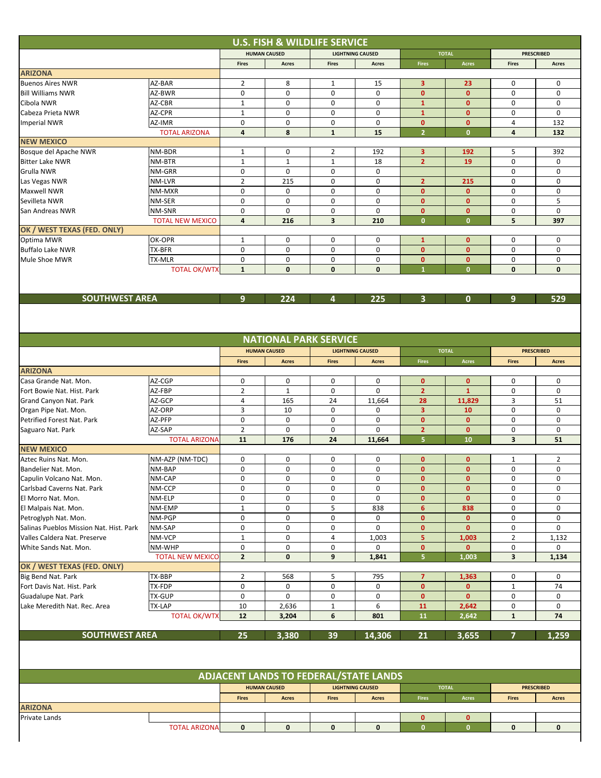|                                                    |                         |                | <b>U.S. FISH &amp; WILDLIFE SERVICE</b>      |              |                         |                              |                              |                   |                   |
|----------------------------------------------------|-------------------------|----------------|----------------------------------------------|--------------|-------------------------|------------------------------|------------------------------|-------------------|-------------------|
|                                                    |                         |                | <b>HUMAN CAUSED</b>                          |              | <b>LIGHTNING CAUSED</b> | <b>TOTAL</b>                 |                              | <b>PRESCRIBED</b> |                   |
|                                                    |                         | <b>Fires</b>   | Acres                                        | <b>Fires</b> | Acres                   | <b>Fires</b>                 | <b>Acres</b>                 | <b>Fires</b>      | Acres             |
| <b>ARIZONA</b>                                     |                         |                |                                              |              |                         |                              |                              |                   |                   |
| <b>Buenos Aires NWR</b>                            | AZ-BAR                  | $\overline{2}$ | 8                                            | 1            | 15                      | 3                            | 23                           | 0                 | 0                 |
| <b>Bill Williams NWR</b>                           | AZ-BWR                  | 0              | 0                                            | 0            | 0                       | $\mathbf{0}$                 | $\mathbf{0}$                 | 0                 | 0                 |
| Cibola NWR                                         | AZ-CBR                  | 1              | 0                                            | 0            | 0                       | $\mathbf{1}$                 | $\mathbf 0$                  | 0                 | 0                 |
| Cabeza Prieta NWR                                  | AZ-CPR                  | $\mathbf{1}$   | 0                                            | 0            | $\mathbf 0$             | $\mathbf{1}$                 | $\mathbf{0}$                 | 0                 | 0                 |
| <b>Imperial NWR</b>                                | AZ-IMR                  | 0              | 0                                            | 0            | 0                       | $\mathbf{0}$                 | $\mathbf{0}$                 | 4                 | 132               |
|                                                    | <b>TOTAL ARIZONA</b>    | 4              | 8                                            | $\mathbf{1}$ | 15                      | $\overline{2}$               | $\mathbf{0}$                 | 4                 | 132               |
| <b>NEW MEXICO</b>                                  |                         |                |                                              |              |                         |                              |                              |                   |                   |
| Bosque del Apache NWR                              | NM-BDR                  | 1              | 0                                            | 2            | 192                     | 3                            | 192                          | 5                 | 392               |
| <b>Bitter Lake NWR</b>                             | NM-BTR                  | $\mathbf{1}$   | $\mathbf{1}$                                 | $\mathbf{1}$ | 18                      | $\overline{2}$               | 19                           | 0                 | 0                 |
| Grulla NWR                                         | NM-GRR                  | 0              | 0                                            | 0            | $\mathbf 0$             |                              |                              | $\mathbf 0$       | 0                 |
| Las Vegas NWR                                      | NM-LVR                  | $\overline{2}$ | 215                                          | 0            | 0                       | $\overline{2}$               | 215                          | 0                 | 0                 |
| Maxwell NWR                                        | NM-MXR                  | 0              | 0                                            | 0            | 0                       | $\mathbf{0}$                 | $\mathbf{0}$                 | 0                 | 0                 |
| Sevilleta NWR                                      | NM-SER                  | 0              | 0                                            | 0            | $\mathbf 0$             | $\mathbf{0}$                 | $\mathbf{0}$                 | 0                 | 5                 |
|                                                    |                         |                |                                              |              |                         |                              |                              |                   |                   |
| San Andreas NWR                                    | NM-SNR                  | 0<br>4         | 0                                            | 0<br>3       | 0                       | $\mathbf{0}$<br>$\mathbf{0}$ | $\mathbf{0}$<br>$\mathbf{0}$ | 0                 | 0                 |
|                                                    | <b>TOTAL NEW MEXICO</b> |                | 216                                          |              | 210                     |                              |                              | 5                 | 397               |
| OK / WEST TEXAS (FED. ONLY)                        |                         |                |                                              |              |                         |                              |                              |                   |                   |
| Optima MWR                                         | OK-OPR                  | $\mathbf{1}$   | 0                                            | 0            | 0                       | $\mathbf{1}$                 | $\mathbf{0}$                 | 0                 | 0                 |
| <b>Buffalo Lake NWR</b>                            | TX-BFR                  | $\mathbf 0$    | $\mathbf 0$                                  | $\mathbf 0$  | 0                       | $\mathbf{0}$                 | $\mathbf{0}$                 | $\mathbf 0$       | 0                 |
| Mule Shoe MWR                                      | TX-MLR                  | 0              | 0                                            | 0            | 0                       | $\mathbf{0}$                 | $\mathbf{0}$                 | 0                 | 0                 |
|                                                    | <b>TOTAL OK/WTX</b>     | $\mathbf{1}$   | $\mathbf 0$                                  | 0            | $\mathbf 0$             | $\mathbf{1}$                 | $\mathbf{0}$                 | 0                 | 0                 |
|                                                    |                         |                |                                              |              |                         |                              |                              |                   |                   |
|                                                    |                         |                |                                              |              |                         |                              |                              |                   |                   |
| <b>SOUTHWEST AREA</b>                              |                         | 9              | 224                                          | 4            | 225                     | 3                            | $\mathbf{0}$                 | 9                 | 529               |
|                                                    |                         |                |                                              |              |                         |                              |                              |                   |                   |
|                                                    |                         |                |                                              |              |                         |                              |                              |                   |                   |
|                                                    |                         |                |                                              |              |                         |                              |                              |                   |                   |
|                                                    |                         |                | <b>NATIONAL PARK SERVICE</b>                 |              |                         |                              |                              |                   |                   |
|                                                    |                         |                | <b>HUMAN CAUSED</b>                          |              | <b>LIGHTNING CAUSED</b> |                              | <b>TOTAL</b>                 |                   | <b>PRESCRIBED</b> |
|                                                    |                         | <b>Fires</b>   | <b>Acres</b>                                 | <b>Fires</b> | <b>Acres</b>            | <b>Fires</b>                 | Acres                        | <b>Fires</b>      | <b>Acres</b>      |
| <b>ARIZONA</b>                                     |                         |                |                                              |              |                         |                              |                              |                   |                   |
| Casa Grande Nat. Mon.                              | AZ-CGP                  | 0              | 0                                            | 0            | 0                       | $\mathbf{0}$                 | $\mathbf{0}$                 | 0                 | 0                 |
| Fort Bowie Nat. Hist. Park                         | AZ-FBP                  | $\overline{2}$ | $\mathbf{1}$                                 | 0            | 0                       | $\overline{2}$               | $\mathbf{1}$                 | 0                 | 0                 |
| Grand Canyon Nat. Park                             | AZ-GCP                  | 4              | 165                                          | 24           | 11,664                  | 28                           | 11,829                       | 3                 | 51                |
|                                                    | AZ-ORP                  | 3              | 10                                           | 0            | 0                       | 3                            | 10                           | 0                 | 0                 |
| Organ Pipe Nat. Mon.<br>Petrified Forest Nat. Park |                         | 0              | 0                                            |              |                         | $\mathbf{0}$                 | $\mathbf{0}$                 |                   | 0                 |
|                                                    | AZ-PFP                  |                |                                              | 0            | 0                       |                              |                              | 0                 |                   |
| Saguaro Nat. Park                                  | AZ-SAP                  | $\overline{2}$ | $\mathbf 0$                                  | $\mathbf 0$  | $\Omega$                | $\overline{2}$               | $\mathbf{0}$                 | 0                 | 0                 |
|                                                    | <b>TOTAL ARIZONA</b>    | 11             | 176                                          | 24           | 11,664                  | 5                            | 10                           | 3                 | 51                |
| <b>NEW MEXICO</b>                                  |                         |                |                                              |              |                         |                              |                              |                   |                   |
| Aztec Ruins Nat. Mon.                              | NM-AZP (NM-TDC)         | 0              | 0                                            | 0            | 0                       | $\mathbf{0}$                 | $\mathbf{0}$                 | $\mathbf{1}$      | 2                 |
| Bandelier Nat. Mon.                                | NM-BAP                  | 0              | 0                                            | 0            | 0                       | $\mathbf{0}$                 | $\mathbf{0}$                 | 0                 | 0                 |
| Capulin Volcano Nat. Mon.                          | NM-CAP                  | 0              | 0                                            | 0            | 0                       | 0                            | $\mathbf{0}$                 | 0                 | 0                 |
| Carlsbad Caverns Nat. Park                         | NM-CCP                  | 0              | 0                                            | 0            | 0                       | $\mathbf{0}$                 | $\mathbf{0}$                 | 0                 | 0                 |
| El Morro Nat. Mon.                                 | NM-ELP                  | 0              | 0                                            | 0            | 0                       | $\mathbf 0$                  | $\mathbf 0$                  | 0                 | 0                 |
| El Malpais Nat. Mon.                               | NM-EMP                  | $\mathbf 1$    | $\pmb{0}$                                    | 5            | 838                     | $6\phantom{1}$               | 838                          | $\pmb{0}$         | $\pmb{0}$         |
| Petroglyph Nat. Mon.                               | NM-PGP                  | 0              | 0                                            | 0            | 0                       | $\mathbf{0}$                 | $\mathbf{0}$                 | 0                 | 0                 |
| Salinas Pueblos Mission Nat. Hist. Park            | NM-SAP                  | 0              | 0                                            | 0            | 0                       | $\mathbf 0$                  | $\mathbf 0$                  | 0                 | 0                 |
| Valles Caldera Nat. Preserve                       | NM-VCP                  | $\mathbf 1$    | $\pmb{0}$                                    | 4            | 1,003                   | 5                            | 1,003                        | $\overline{2}$    | 1,132             |
| White Sands Nat. Mon.                              | NM-WHP                  | 0              | 0                                            | 0            | 0                       | $\mathbf{0}$                 | $\mathbf{0}$                 | 0                 | 0                 |
|                                                    | <b>TOTAL NEW MEXICO</b> | $\mathbf{2}$   | 0                                            | 9            | 1,841                   | 5                            | 1,003                        | 3                 | 1,134             |
| OK / WEST TEXAS (FED. ONLY)                        |                         |                |                                              |              |                         |                              |                              |                   |                   |
| Big Bend Nat. Park                                 | TX-BBP                  | $\overline{2}$ | 568                                          | 5            | 795                     | $\overline{7}$               | 1,363                        | 0                 | 0                 |
| Fort Davis Nat. Hist. Park                         | TX-FDP                  | 0              | 0                                            | 0            | 0                       | $\mathbf{0}$                 | $\mathbf{0}$                 | $\mathbf{1}$      | 74                |
| Guadalupe Nat. Park                                | TX-GUP                  | $\pmb{0}$      | 0                                            | 0            | $\pmb{0}$               | $\mathbf{0}$                 | $\mathbf{0}$                 | 0                 | 0                 |
| Lake Meredith Nat. Rec. Area                       | TX-LAP                  | 10             | 2,636                                        | $\mathbf{1}$ | 6                       | 11                           | 2,642                        | 0                 | 0                 |
|                                                    | <b>TOTAL OK/WTX</b>     | 12             | 3,204                                        | 6            | 801                     | 11                           | 2,642                        | $\mathbf{1}$      | 74                |
|                                                    |                         |                |                                              |              |                         |                              |                              |                   |                   |
| <b>SOUTHWEST AREA</b>                              |                         | 25             | 3,380                                        | 39           | 14,306                  | 21                           | 3,655                        | 7                 | 1,259             |
|                                                    |                         |                |                                              |              |                         |                              |                              |                   |                   |
|                                                    |                         |                |                                              |              |                         |                              |                              |                   |                   |
|                                                    |                         |                |                                              |              |                         |                              |                              |                   |                   |
|                                                    |                         |                | <b>ADJACENT LANDS TO FEDERAL/STATE LANDS</b> |              |                         |                              |                              |                   |                   |
|                                                    |                         |                |                                              |              |                         |                              |                              |                   |                   |
|                                                    |                         |                | <b>HUMAN CAUSED</b>                          |              | <b>LIGHTNING CAUSED</b> |                              | <b>TOTAL</b>                 |                   | <b>PRESCRIBED</b> |
|                                                    |                         | <b>Fires</b>   | Acres                                        | <b>Fires</b> | <b>Acres</b>            | Fires                        | Acres                        | <b>Fires</b>      | <b>Acres</b>      |
| <b>ARIZONA</b>                                     |                         |                |                                              |              |                         |                              |                              |                   |                   |
| Private Lands                                      |                         |                |                                              |              |                         | $\mathbf{0}$                 | $\mathbf{0}$                 |                   |                   |
|                                                    | <b>TOTAL ARIZONA</b>    | $\mathbf 0$    | $\mathbf 0$                                  | $\mathbf 0$  | $\mathbf 0$             | $\mathbf{0}$                 | $\mathbf{0}$                 | $\mathbf 0$       | $\mathbf 0$       |
|                                                    |                         |                |                                              |              |                         |                              |                              |                   |                   |